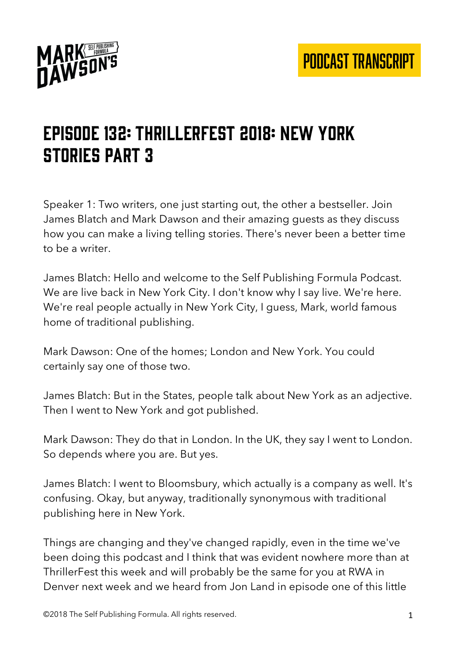

# Episode 132: Thrillerfest 2018: New York stories part 3

Speaker 1: Two writers, one just starting out, the other a bestseller. Join James Blatch and Mark Dawson and their amazing guests as they discuss how you can make a living telling stories. There's never been a better time to be a writer.

James Blatch: Hello and welcome to the Self Publishing Formula Podcast. We are live back in New York City. I don't know why I say live. We're here. We're real people actually in New York City, I guess, Mark, world famous home of traditional publishing.

Mark Dawson: One of the homes; London and New York. You could certainly say one of those two.

James Blatch: But in the States, people talk about New York as an adjective. Then I went to New York and got published.

Mark Dawson: They do that in London. In the UK, they say I went to London. So depends where you are. But yes.

James Blatch: I went to Bloomsbury, which actually is a company as well. It's confusing. Okay, but anyway, traditionally synonymous with traditional publishing here in New York.

Things are changing and they've changed rapidly, even in the time we've been doing this podcast and I think that was evident nowhere more than at ThrillerFest this week and will probably be the same for you at RWA in Denver next week and we heard from Jon Land in episode one of this little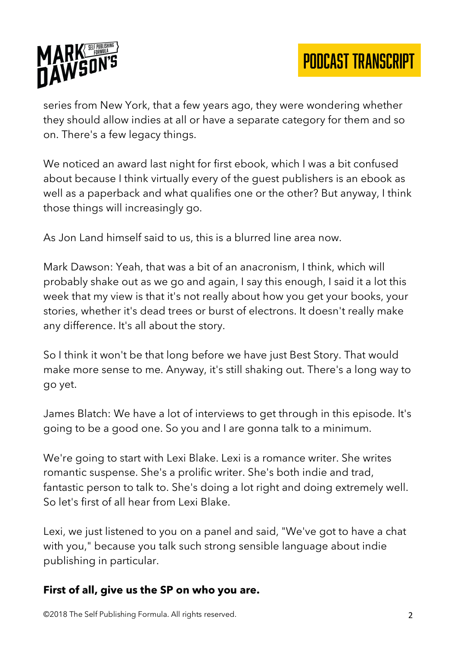

series from New York, that a few years ago, they were wondering whether they should allow indies at all or have a separate category for them and so on. There's a few legacy things.

We noticed an award last night for first ebook, which I was a bit confused about because I think virtually every of the guest publishers is an ebook as well as a paperback and what qualifies one or the other? But anyway, I think those things will increasingly go.

As Jon Land himself said to us, this is a blurred line area now.

Mark Dawson: Yeah, that was a bit of an anacronism, I think, which will probably shake out as we go and again, I say this enough, I said it a lot this week that my view is that it's not really about how you get your books, your stories, whether it's dead trees or burst of electrons. It doesn't really make any difference. It's all about the story.

So I think it won't be that long before we have just Best Story. That would make more sense to me. Anyway, it's still shaking out. There's a long way to go yet.

James Blatch: We have a lot of interviews to get through in this episode. It's going to be a good one. So you and I are gonna talk to a minimum.

We're going to start with Lexi Blake. Lexi is a romance writer. She writes romantic suspense. She's a prolific writer. She's both indie and trad, fantastic person to talk to. She's doing a lot right and doing extremely well. So let's first of all hear from Lexi Blake.

Lexi, we just listened to you on a panel and said, "We've got to have a chat with you," because you talk such strong sensible language about indie publishing in particular.

#### **First of all, give us the SP on who you are.**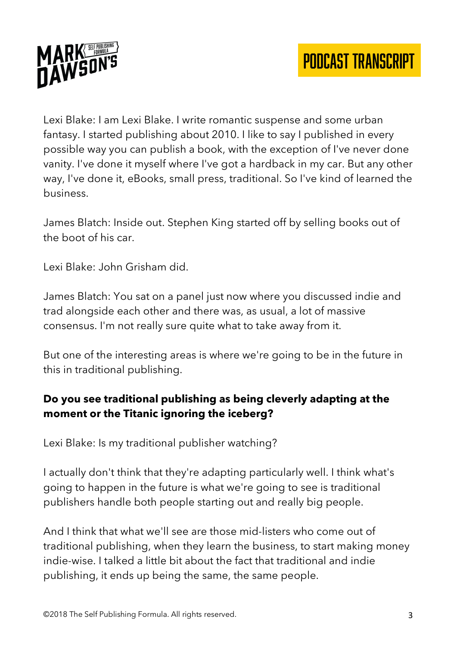

Lexi Blake: I am Lexi Blake. I write romantic suspense and some urban fantasy. I started publishing about 2010. I like to say I published in every possible way you can publish a book, with the exception of I've never done vanity. I've done it myself where I've got a hardback in my car. But any other way, I've done it, eBooks, small press, traditional. So I've kind of learned the business.

James Blatch: Inside out. Stephen King started off by selling books out of the boot of his car.

Lexi Blake: John Grisham did.

James Blatch: You sat on a panel just now where you discussed indie and trad alongside each other and there was, as usual, a lot of massive consensus. I'm not really sure quite what to take away from it.

But one of the interesting areas is where we're going to be in the future in this in traditional publishing.

# **Do you see traditional publishing as being cleverly adapting at the moment or the Titanic ignoring the iceberg?**

Lexi Blake: Is my traditional publisher watching?

I actually don't think that they're adapting particularly well. I think what's going to happen in the future is what we're going to see is traditional publishers handle both people starting out and really big people.

And I think that what we'll see are those mid-listers who come out of traditional publishing, when they learn the business, to start making money indie-wise. I talked a little bit about the fact that traditional and indie publishing, it ends up being the same, the same people.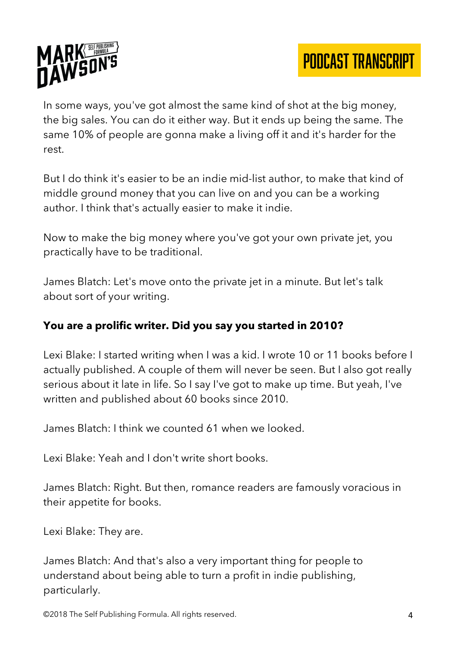

In some ways, you've got almost the same kind of shot at the big money, the big sales. You can do it either way. But it ends up being the same. The same 10% of people are gonna make a living off it and it's harder for the rest.

But I do think it's easier to be an indie mid-list author, to make that kind of middle ground money that you can live on and you can be a working author. I think that's actually easier to make it indie.

Now to make the big money where you've got your own private jet, you practically have to be traditional.

James Blatch: Let's move onto the private jet in a minute. But let's talk about sort of your writing.

# **You are a prolific writer. Did you say you started in 2010?**

Lexi Blake: I started writing when I was a kid. I wrote 10 or 11 books before I actually published. A couple of them will never be seen. But I also got really serious about it late in life. So I say I've got to make up time. But yeah, I've written and published about 60 books since 2010.

James Blatch: I think we counted 61 when we looked.

Lexi Blake: Yeah and I don't write short books.

James Blatch: Right. But then, romance readers are famously voracious in their appetite for books.

Lexi Blake: They are.

James Blatch: And that's also a very important thing for people to understand about being able to turn a profit in indie publishing, particularly.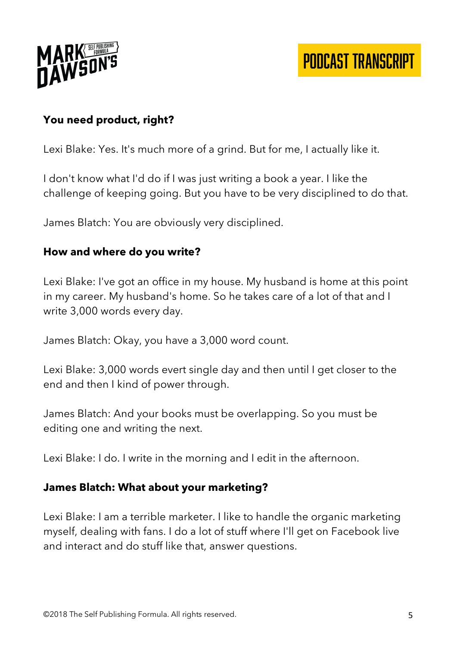

# **You need product, right?**

Lexi Blake: Yes. It's much more of a grind. But for me, I actually like it.

I don't know what I'd do if I was just writing a book a year. I like the challenge of keeping going. But you have to be very disciplined to do that.

James Blatch: You are obviously very disciplined.

#### **How and where do you write?**

Lexi Blake: I've got an office in my house. My husband is home at this point in my career. My husband's home. So he takes care of a lot of that and I write 3,000 words every day.

James Blatch: Okay, you have a 3,000 word count.

Lexi Blake: 3,000 words evert single day and then until I get closer to the end and then I kind of power through.

James Blatch: And your books must be overlapping. So you must be editing one and writing the next.

Lexi Blake: I do. I write in the morning and I edit in the afternoon.

#### **James Blatch: What about your marketing?**

Lexi Blake: I am a terrible marketer. I like to handle the organic marketing myself, dealing with fans. I do a lot of stuff where I'll get on Facebook live and interact and do stuff like that, answer questions.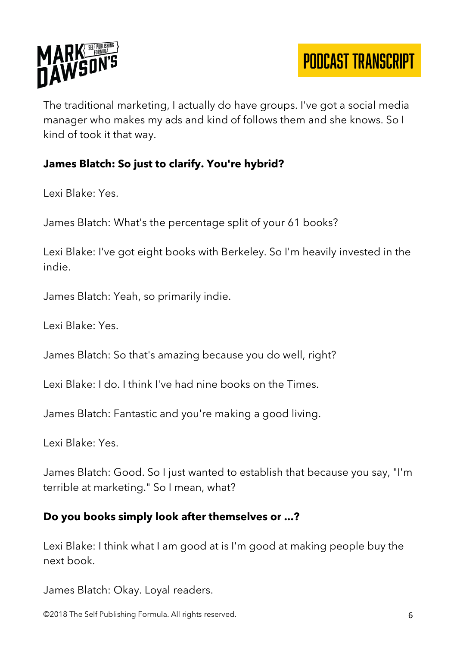

The traditional marketing, I actually do have groups. I've got a social media manager who makes my ads and kind of follows them and she knows. So I kind of took it that way.

## **James Blatch: So just to clarify. You're hybrid?**

Lexi Blake: Yes.

James Blatch: What's the percentage split of your 61 books?

Lexi Blake: I've got eight books with Berkeley. So I'm heavily invested in the indie.

James Blatch: Yeah, so primarily indie.

Lexi Blake: Yes.

James Blatch: So that's amazing because you do well, right?

Lexi Blake: I do. I think I've had nine books on the Times.

James Blatch: Fantastic and you're making a good living.

Lexi Blake: Yes.

James Blatch: Good. So I just wanted to establish that because you say, "I'm terrible at marketing." So I mean, what?

#### **Do you books simply look after themselves or ...?**

Lexi Blake: I think what I am good at is I'm good at making people buy the next book.

James Blatch: Okay. Loyal readers.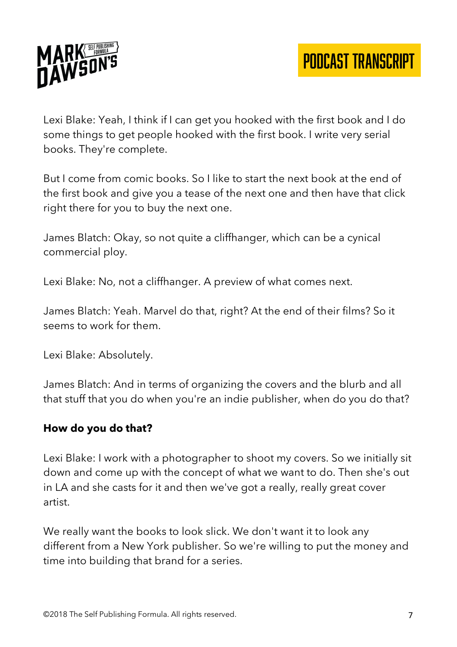

Lexi Blake: Yeah, I think if I can get you hooked with the first book and I do some things to get people hooked with the first book. I write very serial books. They're complete.

But I come from comic books. So I like to start the next book at the end of the first book and give you a tease of the next one and then have that click right there for you to buy the next one.

James Blatch: Okay, so not quite a cliffhanger, which can be a cynical commercial ploy.

Lexi Blake: No, not a cliffhanger. A preview of what comes next.

James Blatch: Yeah. Marvel do that, right? At the end of their films? So it seems to work for them.

Lexi Blake: Absolutely.

James Blatch: And in terms of organizing the covers and the blurb and all that stuff that you do when you're an indie publisher, when do you do that?

#### **How do you do that?**

Lexi Blake: I work with a photographer to shoot my covers. So we initially sit down and come up with the concept of what we want to do. Then she's out in LA and she casts for it and then we've got a really, really great cover artist.

We really want the books to look slick. We don't want it to look any different from a New York publisher. So we're willing to put the money and time into building that brand for a series.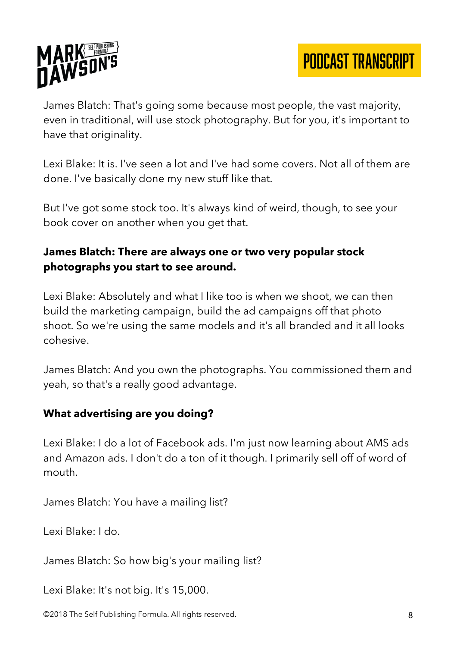

James Blatch: That's going some because most people, the vast majority, even in traditional, will use stock photography. But for you, it's important to have that originality.

Lexi Blake: It is. I've seen a lot and I've had some covers. Not all of them are done. I've basically done my new stuff like that.

But I've got some stock too. It's always kind of weird, though, to see your book cover on another when you get that.

## **James Blatch: There are always one or two very popular stock photographs you start to see around.**

Lexi Blake: Absolutely and what I like too is when we shoot, we can then build the marketing campaign, build the ad campaigns off that photo shoot. So we're using the same models and it's all branded and it all looks cohesive.

James Blatch: And you own the photographs. You commissioned them and yeah, so that's a really good advantage.

#### **What advertising are you doing?**

Lexi Blake: I do a lot of Facebook ads. I'm just now learning about AMS ads and Amazon ads. I don't do a ton of it though. I primarily sell off of word of mouth.

James Blatch: You have a mailing list?

Lexi Blake: I do.

James Blatch: So how big's your mailing list?

Lexi Blake: It's not big. It's 15,000.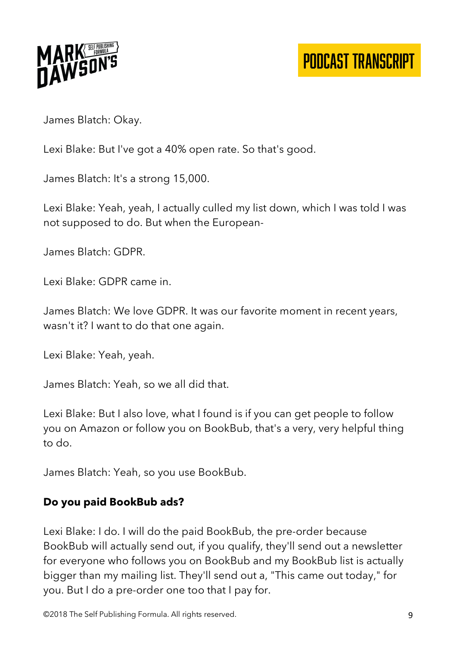

James Blatch: Okay.

Lexi Blake: But I've got a 40% open rate. So that's good.

James Blatch: It's a strong 15,000.

Lexi Blake: Yeah, yeah, I actually culled my list down, which I was told I was not supposed to do. But when the European-

James Blatch: GDPR.

Lexi Blake: GDPR came in.

James Blatch: We love GDPR. It was our favorite moment in recent years, wasn't it? I want to do that one again.

Lexi Blake: Yeah, yeah.

James Blatch: Yeah, so we all did that.

Lexi Blake: But I also love, what I found is if you can get people to follow you on Amazon or follow you on BookBub, that's a very, very helpful thing to do.

James Blatch: Yeah, so you use BookBub.

#### **Do you paid BookBub ads?**

Lexi Blake: I do. I will do the paid BookBub, the pre-order because BookBub will actually send out, if you qualify, they'll send out a newsletter for everyone who follows you on BookBub and my BookBub list is actually bigger than my mailing list. They'll send out a, "This came out today," for you. But I do a pre-order one too that I pay for.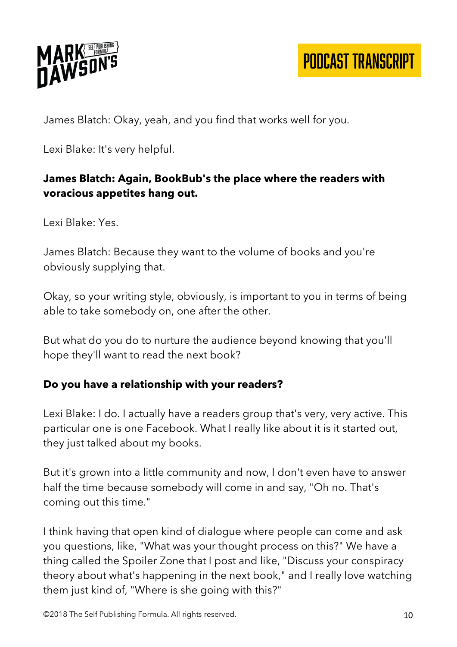

James Blatch: Okay, yeah, and you find that works well for you.

Lexi Blake: It's very helpful.

# **James Blatch: Again, BookBub's the place where the readers with voracious appetites hang out.**

Lexi Blake: Yes.

James Blatch: Because they want to the volume of books and you're obviously supplying that.

Okay, so your writing style, obviously, is important to you in terms of being able to take somebody on, one after the other.

But what do you do to nurture the audience beyond knowing that you'll hope they'll want to read the next book?

# **Do you have a relationship with your readers?**

Lexi Blake: I do. I actually have a readers group that's very, very active. This particular one is one Facebook. What I really like about it is it started out, they just talked about my books.

But it's grown into a little community and now, I don't even have to answer half the time because somebody will come in and say, "Oh no. That's coming out this time."

I think having that open kind of dialogue where people can come and ask you questions, like, "What was your thought process on this?" We have a thing called the Spoiler Zone that I post and like, "Discuss your conspiracy theory about what's happening in the next book," and I really love watching them just kind of, "Where is she going with this?"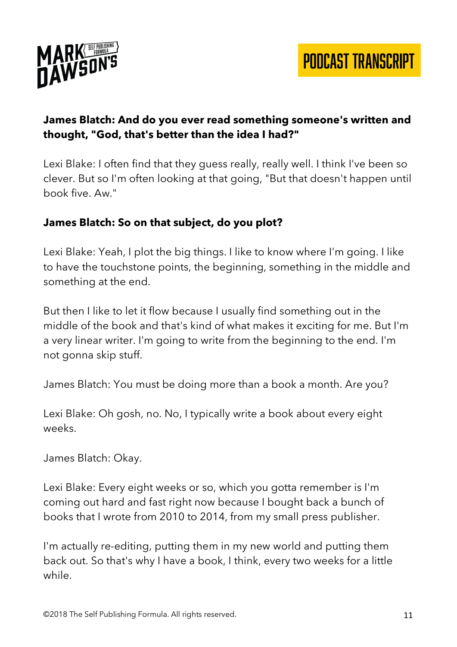



## **James Blatch: And do you ever read something someone's written and thought, "God, that's better than the idea I had?"**

Lexi Blake: I often find that they guess really, really well. I think I've been so clever. But so I'm often looking at that going, "But that doesn't happen until book five. Aw."

#### **James Blatch: So on that subject, do you plot?**

Lexi Blake: Yeah, I plot the big things. I like to know where I'm going. I like to have the touchstone points, the beginning, something in the middle and something at the end.

But then I like to let it flow because I usually find something out in the middle of the book and that's kind of what makes it exciting for me. But I'm a very linear writer. I'm going to write from the beginning to the end. I'm not gonna skip stuff.

James Blatch: You must be doing more than a book a month. Are you?

Lexi Blake: Oh gosh, no. No, I typically write a book about every eight weeks.

James Blatch: Okay.

Lexi Blake: Every eight weeks or so, which you gotta remember is I'm coming out hard and fast right now because I bought back a bunch of books that I wrote from 2010 to 2014, from my small press publisher.

I'm actually re-editing, putting them in my new world and putting them back out. So that's why I have a book, I think, every two weeks for a little while.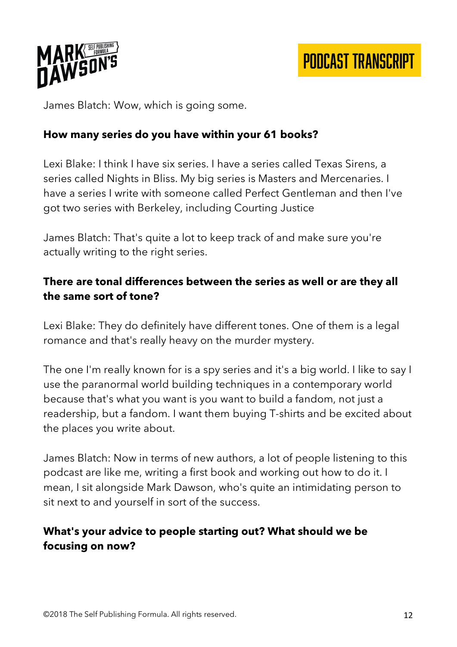

James Blatch: Wow, which is going some.

#### **How many series do you have within your 61 books?**

Lexi Blake: I think I have six series. I have a series called Texas Sirens, a series called Nights in Bliss. My big series is Masters and Mercenaries. I have a series I write with someone called Perfect Gentleman and then I've got two series with Berkeley, including Courting Justice

James Blatch: That's quite a lot to keep track of and make sure you're actually writing to the right series.

#### **There are tonal differences between the series as well or are they all the same sort of tone?**

Lexi Blake: They do definitely have different tones. One of them is a legal romance and that's really heavy on the murder mystery.

The one I'm really known for is a spy series and it's a big world. I like to say I use the paranormal world building techniques in a contemporary world because that's what you want is you want to build a fandom, not just a readership, but a fandom. I want them buying T-shirts and be excited about the places you write about.

James Blatch: Now in terms of new authors, a lot of people listening to this podcast are like me, writing a first book and working out how to do it. I mean, I sit alongside Mark Dawson, who's quite an intimidating person to sit next to and yourself in sort of the success.

#### **What's your advice to people starting out? What should we be focusing on now?**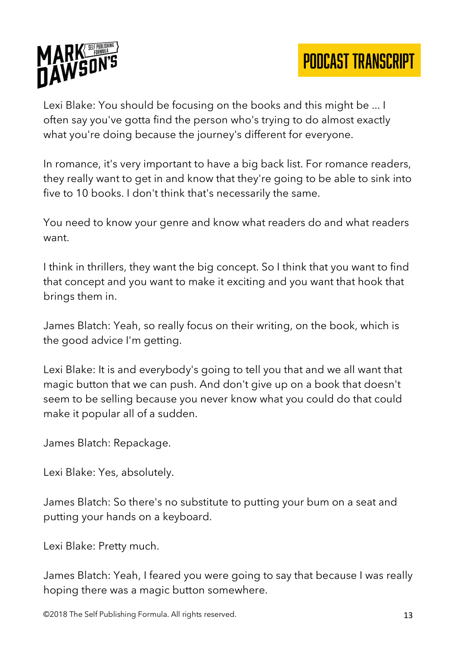



Lexi Blake: You should be focusing on the books and this might be ... I often say you've gotta find the person who's trying to do almost exactly what you're doing because the journey's different for everyone.

In romance, it's very important to have a big back list. For romance readers, they really want to get in and know that they're going to be able to sink into five to 10 books. I don't think that's necessarily the same.

You need to know your genre and know what readers do and what readers want.

I think in thrillers, they want the big concept. So I think that you want to find that concept and you want to make it exciting and you want that hook that brings them in.

James Blatch: Yeah, so really focus on their writing, on the book, which is the good advice I'm getting.

Lexi Blake: It is and everybody's going to tell you that and we all want that magic button that we can push. And don't give up on a book that doesn't seem to be selling because you never know what you could do that could make it popular all of a sudden.

James Blatch: Repackage.

Lexi Blake: Yes, absolutely.

James Blatch: So there's no substitute to putting your bum on a seat and putting your hands on a keyboard.

Lexi Blake: Pretty much.

James Blatch: Yeah, I feared you were going to say that because I was really hoping there was a magic button somewhere.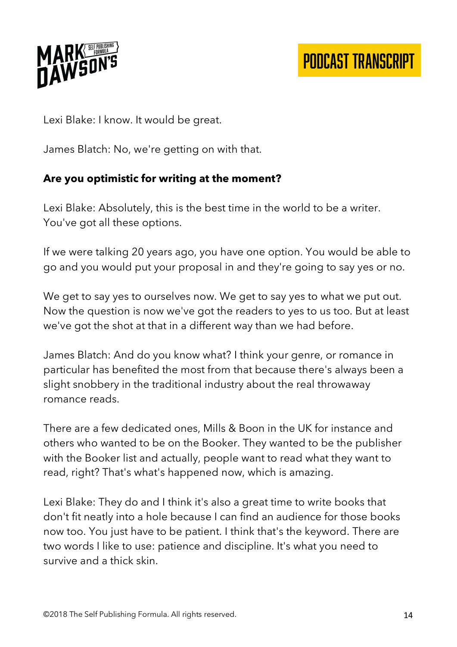

Lexi Blake: I know. It would be great.

James Blatch: No, we're getting on with that.

## **Are you optimistic for writing at the moment?**

Lexi Blake: Absolutely, this is the best time in the world to be a writer. You've got all these options.

If we were talking 20 years ago, you have one option. You would be able to go and you would put your proposal in and they're going to say yes or no.

We get to say yes to ourselves now. We get to say yes to what we put out. Now the question is now we've got the readers to yes to us too. But at least we've got the shot at that in a different way than we had before.

James Blatch: And do you know what? I think your genre, or romance in particular has benefited the most from that because there's always been a slight snobbery in the traditional industry about the real throwaway romance reads.

There are a few dedicated ones, Mills & Boon in the UK for instance and others who wanted to be on the Booker. They wanted to be the publisher with the Booker list and actually, people want to read what they want to read, right? That's what's happened now, which is amazing.

Lexi Blake: They do and I think it's also a great time to write books that don't fit neatly into a hole because I can find an audience for those books now too. You just have to be patient. I think that's the keyword. There are two words I like to use: patience and discipline. It's what you need to survive and a thick skin.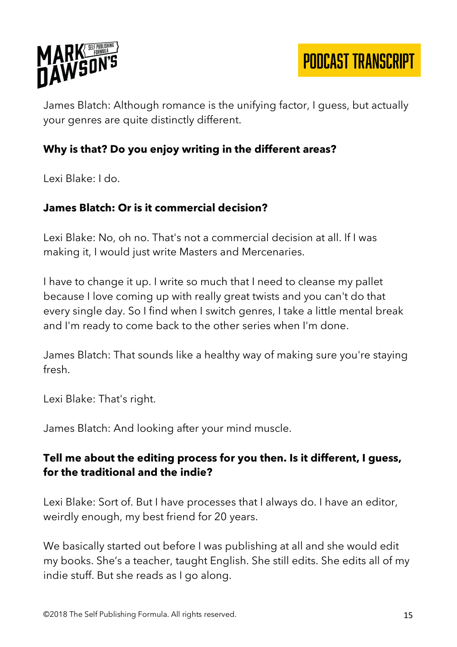

James Blatch: Although romance is the unifying factor, I guess, but actually your genres are quite distinctly different.

#### **Why is that? Do you enjoy writing in the different areas?**

Lexi Blake: I do.

#### **James Blatch: Or is it commercial decision?**

Lexi Blake: No, oh no. That's not a commercial decision at all. If I was making it, I would just write Masters and Mercenaries.

I have to change it up. I write so much that I need to cleanse my pallet because I love coming up with really great twists and you can't do that every single day. So I find when I switch genres, I take a little mental break and I'm ready to come back to the other series when I'm done.

James Blatch: That sounds like a healthy way of making sure you're staying fresh.

Lexi Blake: That's right.

James Blatch: And looking after your mind muscle.

#### **Tell me about the editing process for you then. Is it different, I guess, for the traditional and the indie?**

Lexi Blake: Sort of. But I have processes that I always do. I have an editor, weirdly enough, my best friend for 20 years.

We basically started out before I was publishing at all and she would edit my books. She's a teacher, taught English. She still edits. She edits all of my indie stuff. But she reads as I go along.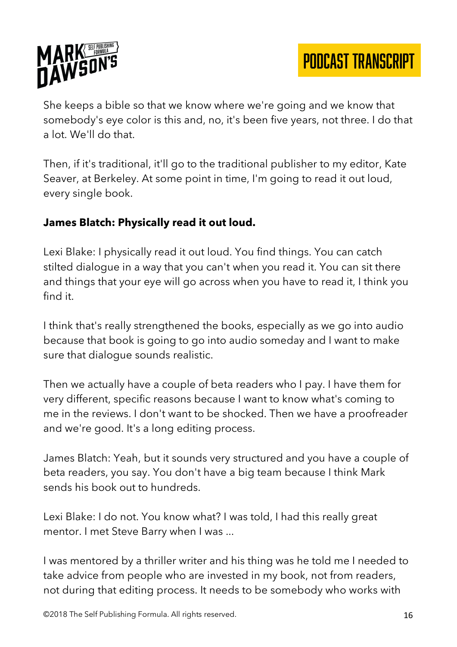

She keeps a bible so that we know where we're going and we know that somebody's eye color is this and, no, it's been five years, not three. I do that a lot. We'll do that.

Then, if it's traditional, it'll go to the traditional publisher to my editor, Kate Seaver, at Berkeley. At some point in time, I'm going to read it out loud, every single book.

## **James Blatch: Physically read it out loud.**

Lexi Blake: I physically read it out loud. You find things. You can catch stilted dialogue in a way that you can't when you read it. You can sit there and things that your eye will go across when you have to read it, I think you find it.

I think that's really strengthened the books, especially as we go into audio because that book is going to go into audio someday and I want to make sure that dialogue sounds realistic.

Then we actually have a couple of beta readers who I pay. I have them for very different, specific reasons because I want to know what's coming to me in the reviews. I don't want to be shocked. Then we have a proofreader and we're good. It's a long editing process.

James Blatch: Yeah, but it sounds very structured and you have a couple of beta readers, you say. You don't have a big team because I think Mark sends his book out to hundreds.

Lexi Blake: I do not. You know what? I was told, I had this really great mentor. I met Steve Barry when I was ...

I was mentored by a thriller writer and his thing was he told me I needed to take advice from people who are invested in my book, not from readers, not during that editing process. It needs to be somebody who works with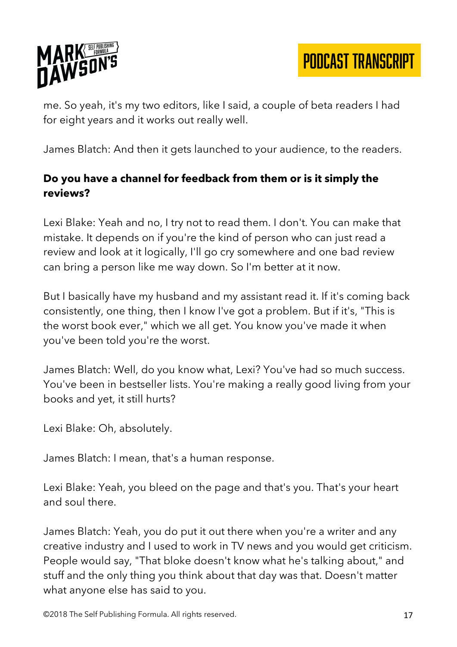

me. So yeah, it's my two editors, like I said, a couple of beta readers I had for eight years and it works out really well.

James Blatch: And then it gets launched to your audience, to the readers.

# **Do you have a channel for feedback from them or is it simply the reviews?**

Lexi Blake: Yeah and no, I try not to read them. I don't. You can make that mistake. It depends on if you're the kind of person who can just read a review and look at it logically, I'll go cry somewhere and one bad review can bring a person like me way down. So I'm better at it now.

But I basically have my husband and my assistant read it. If it's coming back consistently, one thing, then I know I've got a problem. But if it's, "This is the worst book ever," which we all get. You know you've made it when you've been told you're the worst.

James Blatch: Well, do you know what, Lexi? You've had so much success. You've been in bestseller lists. You're making a really good living from your books and yet, it still hurts?

Lexi Blake: Oh, absolutely.

James Blatch: I mean, that's a human response.

Lexi Blake: Yeah, you bleed on the page and that's you. That's your heart and soul there.

James Blatch: Yeah, you do put it out there when you're a writer and any creative industry and I used to work in TV news and you would get criticism. People would say, "That bloke doesn't know what he's talking about," and stuff and the only thing you think about that day was that. Doesn't matter what anyone else has said to you.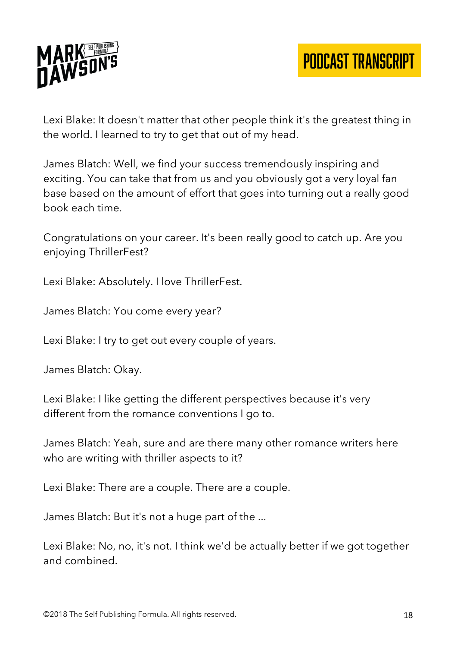

Lexi Blake: It doesn't matter that other people think it's the greatest thing in the world. I learned to try to get that out of my head.

James Blatch: Well, we find your success tremendously inspiring and exciting. You can take that from us and you obviously got a very loyal fan base based on the amount of effort that goes into turning out a really good book each time.

Congratulations on your career. It's been really good to catch up. Are you enjoying ThrillerFest?

Lexi Blake: Absolutely. I love ThrillerFest.

James Blatch: You come every year?

Lexi Blake: I try to get out every couple of years.

James Blatch: Okay.

Lexi Blake: I like getting the different perspectives because it's very different from the romance conventions I go to.

James Blatch: Yeah, sure and are there many other romance writers here who are writing with thriller aspects to it?

Lexi Blake: There are a couple. There are a couple.

James Blatch: But it's not a huge part of the ...

Lexi Blake: No, no, it's not. I think we'd be actually better if we got together and combined.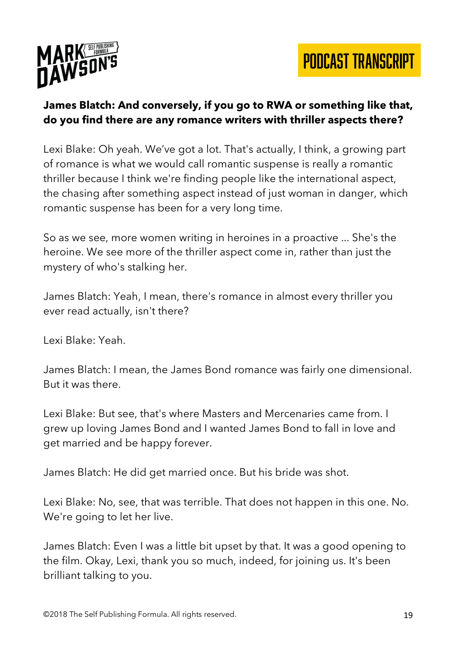



## **James Blatch: And conversely, if you go to RWA or something like that, do you find there are any romance writers with thriller aspects there?**

Lexi Blake: Oh yeah. We've got a lot. That's actually, I think, a growing part of romance is what we would call romantic suspense is really a romantic thriller because I think we're finding people like the international aspect, the chasing after something aspect instead of just woman in danger, which romantic suspense has been for a very long time.

So as we see, more women writing in heroines in a proactive ... She's the heroine. We see more of the thriller aspect come in, rather than just the mystery of who's stalking her.

James Blatch: Yeah, I mean, there's romance in almost every thriller you ever read actually, isn't there?

Lexi Blake: Yeah.

James Blatch: I mean, the James Bond romance was fairly one dimensional. But it was there.

Lexi Blake: But see, that's where Masters and Mercenaries came from. I grew up loving James Bond and I wanted James Bond to fall in love and get married and be happy forever.

James Blatch: He did get married once. But his bride was shot.

Lexi Blake: No, see, that was terrible. That does not happen in this one. No. We're going to let her live.

James Blatch: Even I was a little bit upset by that. It was a good opening to the film. Okay, Lexi, thank you so much, indeed, for joining us. It's been brilliant talking to you.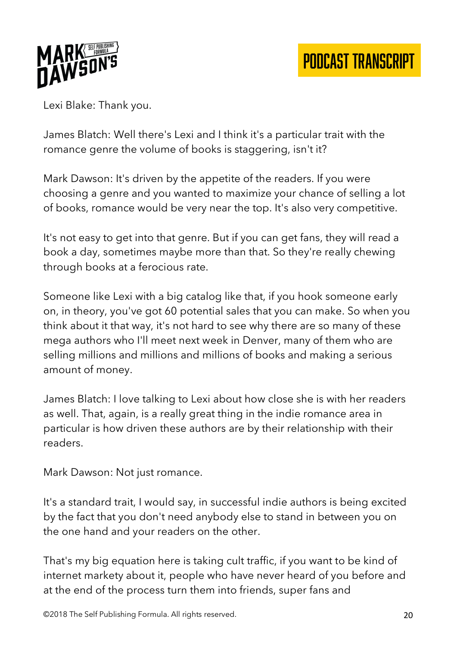

Lexi Blake: Thank you.

James Blatch: Well there's Lexi and I think it's a particular trait with the romance genre the volume of books is staggering, isn't it?

Mark Dawson: It's driven by the appetite of the readers. If you were choosing a genre and you wanted to maximize your chance of selling a lot of books, romance would be very near the top. It's also very competitive.

It's not easy to get into that genre. But if you can get fans, they will read a book a day, sometimes maybe more than that. So they're really chewing through books at a ferocious rate.

Someone like Lexi with a big catalog like that, if you hook someone early on, in theory, you've got 60 potential sales that you can make. So when you think about it that way, it's not hard to see why there are so many of these mega authors who I'll meet next week in Denver, many of them who are selling millions and millions and millions of books and making a serious amount of money.

James Blatch: I love talking to Lexi about how close she is with her readers as well. That, again, is a really great thing in the indie romance area in particular is how driven these authors are by their relationship with their readers.

Mark Dawson: Not just romance.

It's a standard trait, I would say, in successful indie authors is being excited by the fact that you don't need anybody else to stand in between you on the one hand and your readers on the other.

That's my big equation here is taking cult traffic, if you want to be kind of internet markety about it, people who have never heard of you before and at the end of the process turn them into friends, super fans and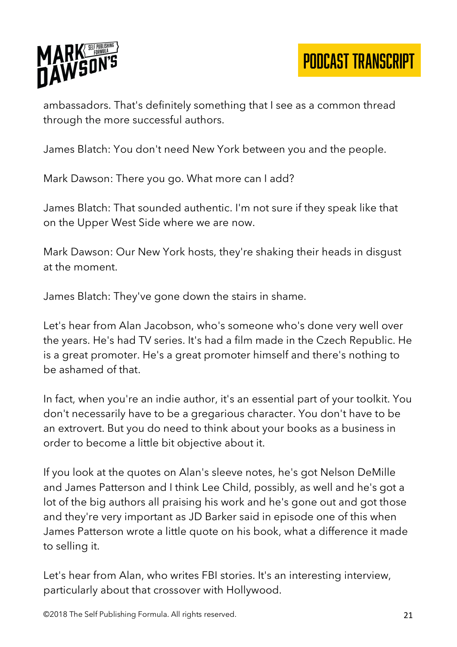

ambassadors. That's definitely something that I see as a common thread through the more successful authors.

James Blatch: You don't need New York between you and the people.

Mark Dawson: There you go. What more can I add?

James Blatch: That sounded authentic. I'm not sure if they speak like that on the Upper West Side where we are now.

Mark Dawson: Our New York hosts, they're shaking their heads in disgust at the moment.

James Blatch: They've gone down the stairs in shame.

Let's hear from Alan Jacobson, who's someone who's done very well over the years. He's had TV series. It's had a film made in the Czech Republic. He is a great promoter. He's a great promoter himself and there's nothing to be ashamed of that.

In fact, when you're an indie author, it's an essential part of your toolkit. You don't necessarily have to be a gregarious character. You don't have to be an extrovert. But you do need to think about your books as a business in order to become a little bit objective about it.

If you look at the quotes on Alan's sleeve notes, he's got Nelson DeMille and James Patterson and I think Lee Child, possibly, as well and he's got a lot of the big authors all praising his work and he's gone out and got those and they're very important as JD Barker said in episode one of this when James Patterson wrote a little quote on his book, what a difference it made to selling it.

Let's hear from Alan, who writes FBI stories. It's an interesting interview, particularly about that crossover with Hollywood.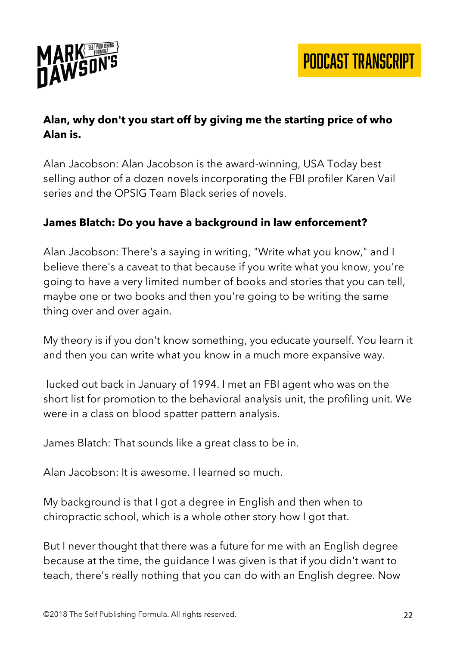

# **Alan, why don't you start off by giving me the starting price of who Alan is.**

Alan Jacobson: Alan Jacobson is the award-winning, USA Today best selling author of a dozen novels incorporating the FBI profiler Karen Vail series and the OPSIG Team Black series of novels.

## **James Blatch: Do you have a background in law enforcement?**

Alan Jacobson: There's a saying in writing, "Write what you know," and I believe there's a caveat to that because if you write what you know, you're going to have a very limited number of books and stories that you can tell, maybe one or two books and then you're going to be writing the same thing over and over again.

My theory is if you don't know something, you educate yourself. You learn it and then you can write what you know in a much more expansive way.

lucked out back in January of 1994. I met an FBI agent who was on the short list for promotion to the behavioral analysis unit, the profiling unit. We were in a class on blood spatter pattern analysis.

James Blatch: That sounds like a great class to be in.

Alan Jacobson: It is awesome. I learned so much.

My background is that I got a degree in English and then when to chiropractic school, which is a whole other story how I got that.

But I never thought that there was a future for me with an English degree because at the time, the guidance I was given is that if you didn't want to teach, there's really nothing that you can do with an English degree. Now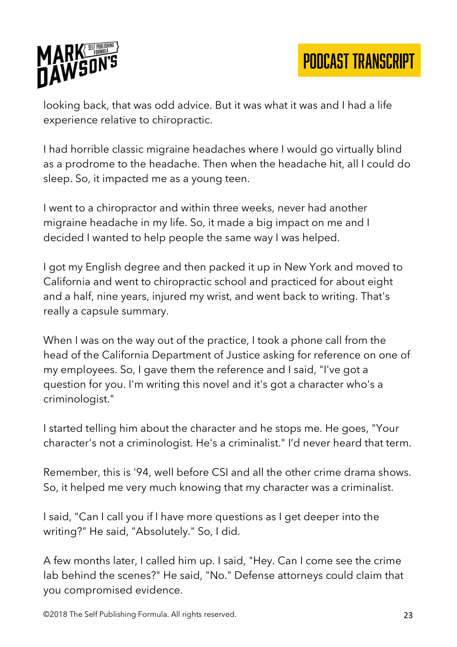

looking back, that was odd advice. But it was what it was and I had a life experience relative to chiropractic.

I had horrible classic migraine headaches where I would go virtually blind as a prodrome to the headache. Then when the headache hit, all I could do sleep. So, it impacted me as a young teen.

I went to a chiropractor and within three weeks, never had another migraine headache in my life. So, it made a big impact on me and I decided I wanted to help people the same way I was helped.

I got my English degree and then packed it up in New York and moved to California and went to chiropractic school and practiced for about eight and a half, nine years, injured my wrist, and went back to writing. That's really a capsule summary.

When I was on the way out of the practice, I took a phone call from the head of the California Department of Justice asking for reference on one of my employees. So, I gave them the reference and I said, "I've got a question for you. I'm writing this novel and it's got a character who's a criminologist."

I started telling him about the character and he stops me. He goes, "Your character's not a criminologist. He's a criminalist." I'd never heard that term.

Remember, this is '94, well before CSI and all the other crime drama shows. So, it helped me very much knowing that my character was a criminalist.

I said, "Can I call you if I have more questions as I get deeper into the writing?" He said, "Absolutely." So, I did.

A few months later, I called him up. I said, "Hey. Can I come see the crime lab behind the scenes?" He said, "No." Defense attorneys could claim that you compromised evidence.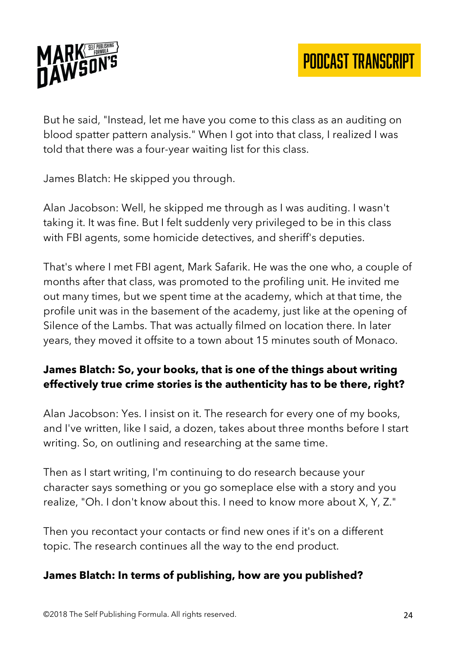

But he said, "Instead, let me have you come to this class as an auditing on blood spatter pattern analysis." When I got into that class, I realized I was told that there was a four-year waiting list for this class.

James Blatch: He skipped you through.

Alan Jacobson: Well, he skipped me through as I was auditing. I wasn't taking it. It was fine. But I felt suddenly very privileged to be in this class with FBI agents, some homicide detectives, and sheriff's deputies.

That's where I met FBI agent, Mark Safarik. He was the one who, a couple of months after that class, was promoted to the profiling unit. He invited me out many times, but we spent time at the academy, which at that time, the profile unit was in the basement of the academy, just like at the opening of Silence of the Lambs. That was actually filmed on location there. In later years, they moved it offsite to a town about 15 minutes south of Monaco.

## **James Blatch: So, your books, that is one of the things about writing effectively true crime stories is the authenticity has to be there, right?**

Alan Jacobson: Yes. I insist on it. The research for every one of my books, and I've written, like I said, a dozen, takes about three months before I start writing. So, on outlining and researching at the same time.

Then as I start writing, I'm continuing to do research because your character says something or you go someplace else with a story and you realize, "Oh. I don't know about this. I need to know more about X, Y, Z."

Then you recontact your contacts or find new ones if it's on a different topic. The research continues all the way to the end product.

#### **James Blatch: In terms of publishing, how are you published?**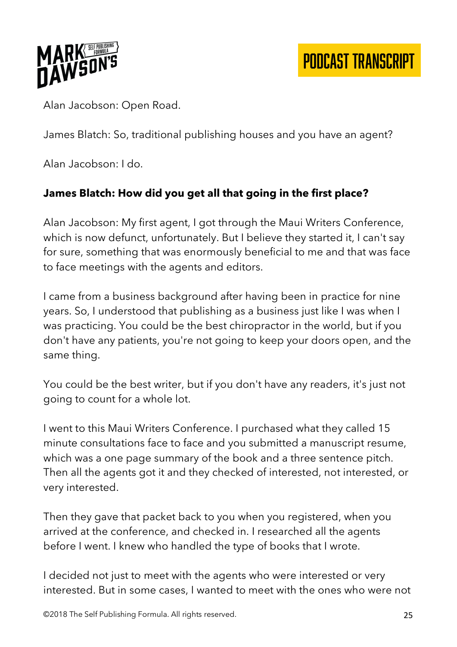

Alan Jacobson: Open Road.

James Blatch: So, traditional publishing houses and you have an agent?

Alan Jacobson: I do.

# **James Blatch: How did you get all that going in the first place?**

Alan Jacobson: My first agent, I got through the Maui Writers Conference, which is now defunct, unfortunately. But I believe they started it, I can't say for sure, something that was enormously beneficial to me and that was face to face meetings with the agents and editors.

I came from a business background after having been in practice for nine years. So, I understood that publishing as a business just like I was when I was practicing. You could be the best chiropractor in the world, but if you don't have any patients, you're not going to keep your doors open, and the same thing.

You could be the best writer, but if you don't have any readers, it's just not going to count for a whole lot.

I went to this Maui Writers Conference. I purchased what they called 15 minute consultations face to face and you submitted a manuscript resume, which was a one page summary of the book and a three sentence pitch. Then all the agents got it and they checked of interested, not interested, or very interested.

Then they gave that packet back to you when you registered, when you arrived at the conference, and checked in. I researched all the agents before I went. I knew who handled the type of books that I wrote.

I decided not just to meet with the agents who were interested or very interested. But in some cases, I wanted to meet with the ones who were not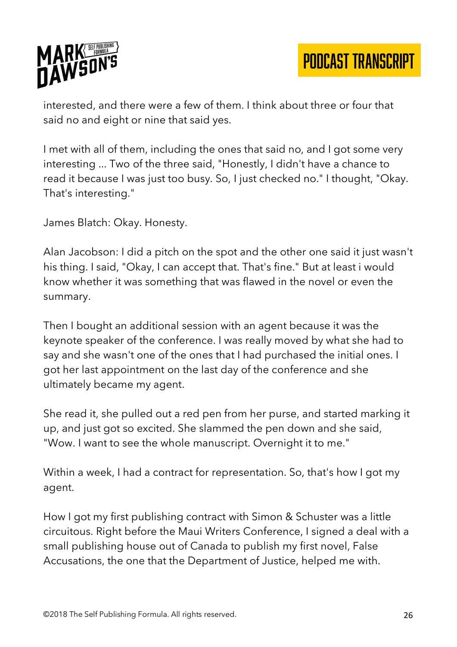

interested, and there were a few of them. I think about three or four that said no and eight or nine that said yes.

I met with all of them, including the ones that said no, and I got some very interesting ... Two of the three said, "Honestly, I didn't have a chance to read it because I was just too busy. So, I just checked no." I thought, "Okay. That's interesting."

James Blatch: Okay. Honesty.

Alan Jacobson: I did a pitch on the spot and the other one said it just wasn't his thing. I said, "Okay, I can accept that. That's fine." But at least i would know whether it was something that was flawed in the novel or even the summary.

Then I bought an additional session with an agent because it was the keynote speaker of the conference. I was really moved by what she had to say and she wasn't one of the ones that I had purchased the initial ones. I got her last appointment on the last day of the conference and she ultimately became my agent.

She read it, she pulled out a red pen from her purse, and started marking it up, and just got so excited. She slammed the pen down and she said, "Wow. I want to see the whole manuscript. Overnight it to me."

Within a week, I had a contract for representation. So, that's how I got my agent.

How I got my first publishing contract with Simon & Schuster was a little circuitous. Right before the Maui Writers Conference, I signed a deal with a small publishing house out of Canada to publish my first novel, False Accusations, the one that the Department of Justice, helped me with.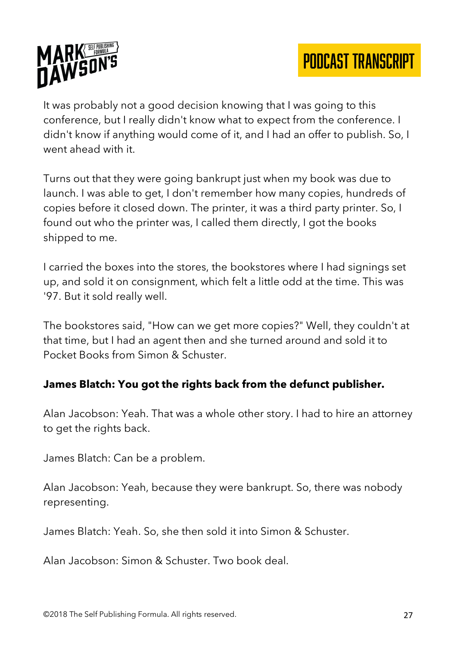

It was probably not a good decision knowing that I was going to this conference, but I really didn't know what to expect from the conference. I didn't know if anything would come of it, and I had an offer to publish. So, I went ahead with it.

Turns out that they were going bankrupt just when my book was due to launch. I was able to get, I don't remember how many copies, hundreds of copies before it closed down. The printer, it was a third party printer. So, I found out who the printer was, I called them directly, I got the books shipped to me.

I carried the boxes into the stores, the bookstores where I had signings set up, and sold it on consignment, which felt a little odd at the time. This was '97. But it sold really well.

The bookstores said, "How can we get more copies?" Well, they couldn't at that time, but I had an agent then and she turned around and sold it to Pocket Books from Simon & Schuster.

#### **James Blatch: You got the rights back from the defunct publisher.**

Alan Jacobson: Yeah. That was a whole other story. I had to hire an attorney to get the rights back.

James Blatch: Can be a problem.

Alan Jacobson: Yeah, because they were bankrupt. So, there was nobody representing.

James Blatch: Yeah. So, she then sold it into Simon & Schuster.

Alan Jacobson: Simon & Schuster. Two book deal.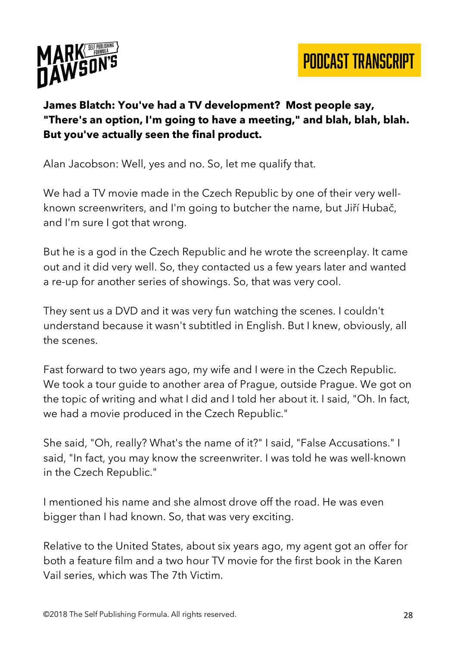



# **James Blatch: You've had a TV development? Most people say, "There's an option, I'm going to have a meeting," and blah, blah, blah. But you've actually seen the final product.**

Alan Jacobson: Well, yes and no. So, let me qualify that.

We had a TV movie made in the Czech Republic by one of their very wellknown screenwriters, and I'm going to butcher the name, but Jiří Hubač, and I'm sure I got that wrong.

But he is a god in the Czech Republic and he wrote the screenplay. It came out and it did very well. So, they contacted us a few years later and wanted a re-up for another series of showings. So, that was very cool.

They sent us a DVD and it was very fun watching the scenes. I couldn't understand because it wasn't subtitled in English. But I knew, obviously, all the scenes.

Fast forward to two years ago, my wife and I were in the Czech Republic. We took a tour guide to another area of Prague, outside Prague. We got on the topic of writing and what I did and I told her about it. I said, "Oh. In fact, we had a movie produced in the Czech Republic."

She said, "Oh, really? What's the name of it?" I said, "False Accusations." I said, "In fact, you may know the screenwriter. I was told he was well-known in the Czech Republic."

I mentioned his name and she almost drove off the road. He was even bigger than I had known. So, that was very exciting.

Relative to the United States, about six years ago, my agent got an offer for both a feature film and a two hour TV movie for the first book in the Karen Vail series, which was The 7th Victim.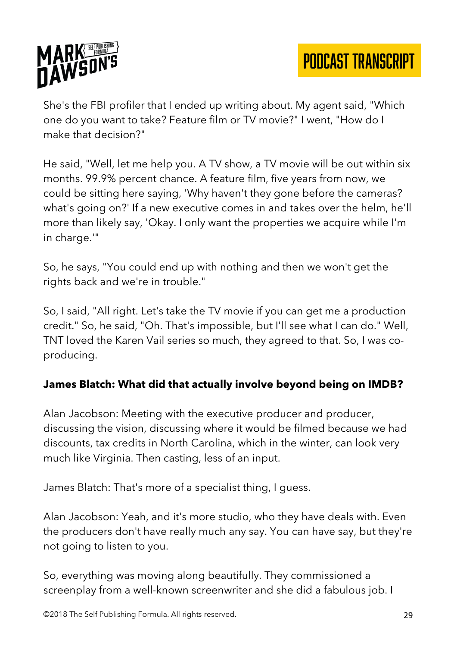

She's the FBI profiler that I ended up writing about. My agent said, "Which one do you want to take? Feature film or TV movie?" I went, "How do I make that decision?"

He said, "Well, let me help you. A TV show, a TV movie will be out within six months. 99.9% percent chance. A feature film, five years from now, we could be sitting here saying, 'Why haven't they gone before the cameras? what's going on?' If a new executive comes in and takes over the helm, he'll more than likely say, 'Okay. I only want the properties we acquire while I'm in charge.'"

So, he says, "You could end up with nothing and then we won't get the rights back and we're in trouble."

So, I said, "All right. Let's take the TV movie if you can get me a production credit." So, he said, "Oh. That's impossible, but I'll see what I can do." Well, TNT loved the Karen Vail series so much, they agreed to that. So, I was coproducing.

# **James Blatch: What did that actually involve beyond being on IMDB?**

Alan Jacobson: Meeting with the executive producer and producer, discussing the vision, discussing where it would be filmed because we had discounts, tax credits in North Carolina, which in the winter, can look very much like Virginia. Then casting, less of an input.

James Blatch: That's more of a specialist thing, I guess.

Alan Jacobson: Yeah, and it's more studio, who they have deals with. Even the producers don't have really much any say. You can have say, but they're not going to listen to you.

So, everything was moving along beautifully. They commissioned a screenplay from a well-known screenwriter and she did a fabulous job. I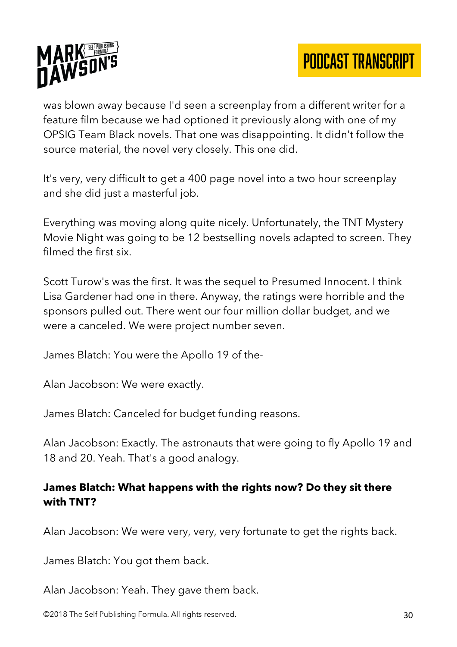

was blown away because I'd seen a screenplay from a different writer for a feature film because we had optioned it previously along with one of my OPSIG Team Black novels. That one was disappointing. It didn't follow the source material, the novel very closely. This one did.

It's very, very difficult to get a 400 page novel into a two hour screenplay and she did just a masterful job.

Everything was moving along quite nicely. Unfortunately, the TNT Mystery Movie Night was going to be 12 bestselling novels adapted to screen. They filmed the first six.

Scott Turow's was the first. It was the sequel to Presumed Innocent. I think Lisa Gardener had one in there. Anyway, the ratings were horrible and the sponsors pulled out. There went our four million dollar budget, and we were a canceled. We were project number seven.

James Blatch: You were the Apollo 19 of the-

Alan Jacobson: We were exactly.

James Blatch: Canceled for budget funding reasons.

Alan Jacobson: Exactly. The astronauts that were going to fly Apollo 19 and 18 and 20. Yeah. That's a good analogy.

## **James Blatch: What happens with the rights now? Do they sit there with TNT?**

Alan Jacobson: We were very, very, very fortunate to get the rights back.

James Blatch: You got them back.

Alan Jacobson: Yeah. They gave them back.

©2018 The Self Publishing Formula. All rights reserved. **30 Self Reserved.** 30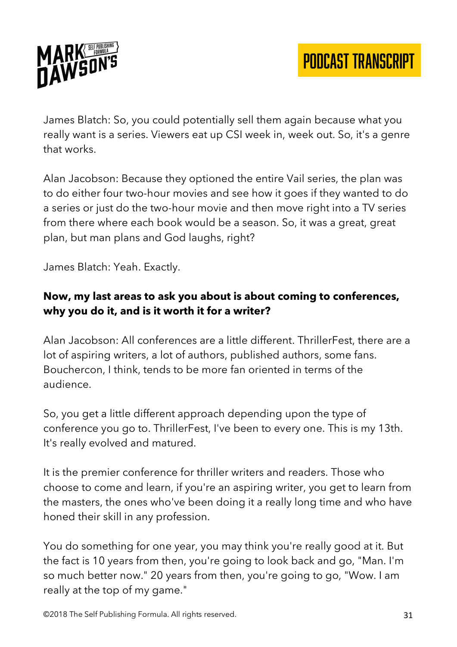



James Blatch: So, you could potentially sell them again because what you really want is a series. Viewers eat up CSI week in, week out. So, it's a genre that works.

Alan Jacobson: Because they optioned the entire Vail series, the plan was to do either four two-hour movies and see how it goes if they wanted to do a series or just do the two-hour movie and then move right into a TV series from there where each book would be a season. So, it was a great, great plan, but man plans and God laughs, right?

James Blatch: Yeah. Exactly.

## **Now, my last areas to ask you about is about coming to conferences, why you do it, and is it worth it for a writer?**

Alan Jacobson: All conferences are a little different. ThrillerFest, there are a lot of aspiring writers, a lot of authors, published authors, some fans. Bouchercon, I think, tends to be more fan oriented in terms of the audience.

So, you get a little different approach depending upon the type of conference you go to. ThrillerFest, I've been to every one. This is my 13th. It's really evolved and matured.

It is the premier conference for thriller writers and readers. Those who choose to come and learn, if you're an aspiring writer, you get to learn from the masters, the ones who've been doing it a really long time and who have honed their skill in any profession.

You do something for one year, you may think you're really good at it. But the fact is 10 years from then, you're going to look back and go, "Man. I'm so much better now." 20 years from then, you're going to go, "Wow. I am really at the top of my game."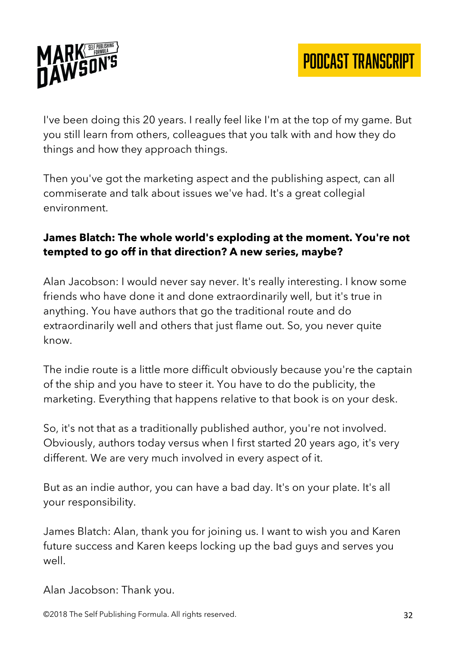

I've been doing this 20 years. I really feel like I'm at the top of my game. But you still learn from others, colleagues that you talk with and how they do things and how they approach things.

Then you've got the marketing aspect and the publishing aspect, can all commiserate and talk about issues we've had. It's a great collegial environment.

## **James Blatch: The whole world's exploding at the moment. You're not tempted to go off in that direction? A new series, maybe?**

Alan Jacobson: I would never say never. It's really interesting. I know some friends who have done it and done extraordinarily well, but it's true in anything. You have authors that go the traditional route and do extraordinarily well and others that just flame out. So, you never quite know.

The indie route is a little more difficult obviously because you're the captain of the ship and you have to steer it. You have to do the publicity, the marketing. Everything that happens relative to that book is on your desk.

So, it's not that as a traditionally published author, you're not involved. Obviously, authors today versus when I first started 20 years ago, it's very different. We are very much involved in every aspect of it.

But as an indie author, you can have a bad day. It's on your plate. It's all your responsibility.

James Blatch: Alan, thank you for joining us. I want to wish you and Karen future success and Karen keeps locking up the bad guys and serves you well.

Alan Jacobson: Thank you.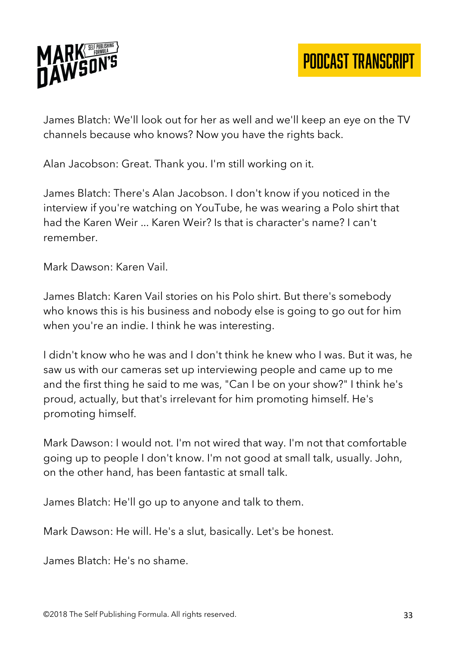

James Blatch: We'll look out for her as well and we'll keep an eye on the TV channels because who knows? Now you have the rights back.

Alan Jacobson: Great. Thank you. I'm still working on it.

James Blatch: There's Alan Jacobson. I don't know if you noticed in the interview if you're watching on YouTube, he was wearing a Polo shirt that had the Karen Weir ... Karen Weir? Is that is character's name? I can't remember.

Mark Dawson: Karen Vail.

James Blatch: Karen Vail stories on his Polo shirt. But there's somebody who knows this is his business and nobody else is going to go out for him when you're an indie. I think he was interesting.

I didn't know who he was and I don't think he knew who I was. But it was, he saw us with our cameras set up interviewing people and came up to me and the first thing he said to me was, "Can I be on your show?" I think he's proud, actually, but that's irrelevant for him promoting himself. He's promoting himself.

Mark Dawson: I would not. I'm not wired that way. I'm not that comfortable going up to people I don't know. I'm not good at small talk, usually. John, on the other hand, has been fantastic at small talk.

James Blatch: He'll go up to anyone and talk to them.

Mark Dawson: He will. He's a slut, basically. Let's be honest.

James Blatch: He's no shame.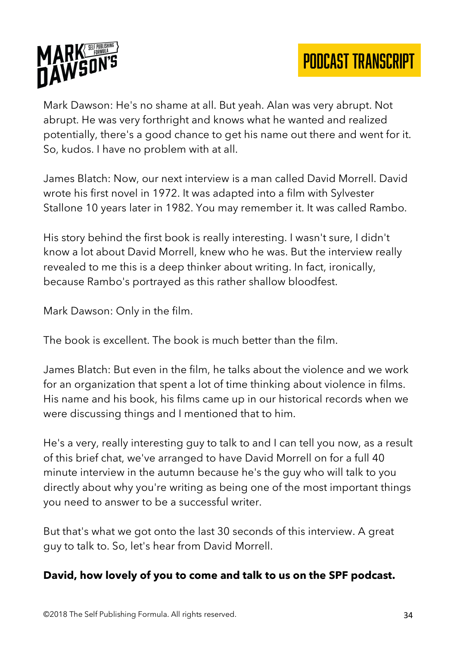



Mark Dawson: He's no shame at all. But yeah. Alan was very abrupt. Not abrupt. He was very forthright and knows what he wanted and realized potentially, there's a good chance to get his name out there and went for it. So, kudos. I have no problem with at all.

James Blatch: Now, our next interview is a man called David Morrell. David wrote his first novel in 1972. It was adapted into a film with Sylvester Stallone 10 years later in 1982. You may remember it. It was called Rambo.

His story behind the first book is really interesting. I wasn't sure, I didn't know a lot about David Morrell, knew who he was. But the interview really revealed to me this is a deep thinker about writing. In fact, ironically, because Rambo's portrayed as this rather shallow bloodfest.

Mark Dawson: Only in the film.

The book is excellent. The book is much better than the film.

James Blatch: But even in the film, he talks about the violence and we work for an organization that spent a lot of time thinking about violence in films. His name and his book, his films came up in our historical records when we were discussing things and I mentioned that to him.

He's a very, really interesting guy to talk to and I can tell you now, as a result of this brief chat, we've arranged to have David Morrell on for a full 40 minute interview in the autumn because he's the guy who will talk to you directly about why you're writing as being one of the most important things you need to answer to be a successful writer.

But that's what we got onto the last 30 seconds of this interview. A great guy to talk to. So, let's hear from David Morrell.

#### **David, how lovely of you to come and talk to us on the SPF podcast.**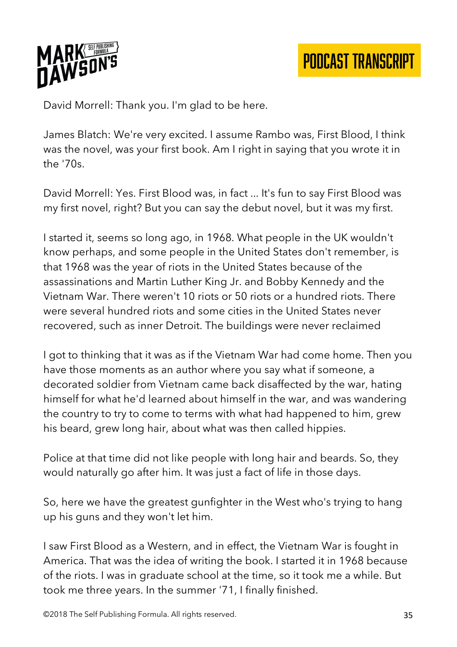

David Morrell: Thank you. I'm glad to be here.

James Blatch: We're very excited. I assume Rambo was, First Blood, I think was the novel, was your first book. Am I right in saying that you wrote it in the '70s.

David Morrell: Yes. First Blood was, in fact ... It's fun to say First Blood was my first novel, right? But you can say the debut novel, but it was my first.

I started it, seems so long ago, in 1968. What people in the UK wouldn't know perhaps, and some people in the United States don't remember, is that 1968 was the year of riots in the United States because of the assassinations and Martin Luther King Jr. and Bobby Kennedy and the Vietnam War. There weren't 10 riots or 50 riots or a hundred riots. There were several hundred riots and some cities in the United States never recovered, such as inner Detroit. The buildings were never reclaimed

I got to thinking that it was as if the Vietnam War had come home. Then you have those moments as an author where you say what if someone, a decorated soldier from Vietnam came back disaffected by the war, hating himself for what he'd learned about himself in the war, and was wandering the country to try to come to terms with what had happened to him, grew his beard, grew long hair, about what was then called hippies.

Police at that time did not like people with long hair and beards. So, they would naturally go after him. It was just a fact of life in those days.

So, here we have the greatest gunfighter in the West who's trying to hang up his guns and they won't let him.

I saw First Blood as a Western, and in effect, the Vietnam War is fought in America. That was the idea of writing the book. I started it in 1968 because of the riots. I was in graduate school at the time, so it took me a while. But took me three years. In the summer '71, I finally finished.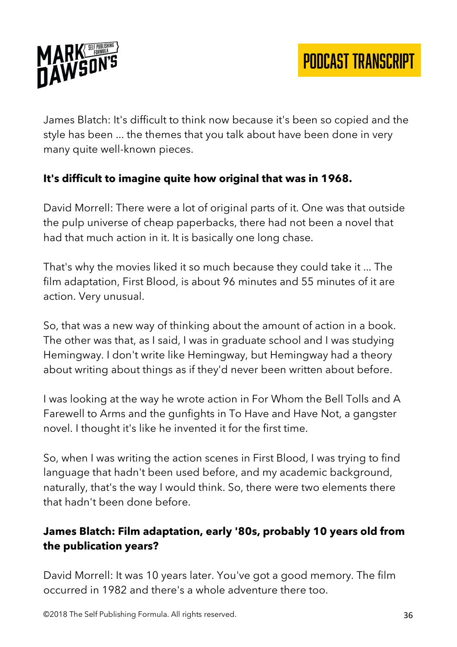

James Blatch: It's difficult to think now because it's been so copied and the style has been ... the themes that you talk about have been done in very many quite well-known pieces.

# **It's difficult to imagine quite how original that was in 1968.**

David Morrell: There were a lot of original parts of it. One was that outside the pulp universe of cheap paperbacks, there had not been a novel that had that much action in it. It is basically one long chase.

That's why the movies liked it so much because they could take it ... The film adaptation, First Blood, is about 96 minutes and 55 minutes of it are action. Very unusual.

So, that was a new way of thinking about the amount of action in a book. The other was that, as I said, I was in graduate school and I was studying Hemingway. I don't write like Hemingway, but Hemingway had a theory about writing about things as if they'd never been written about before.

I was looking at the way he wrote action in For Whom the Bell Tolls and A Farewell to Arms and the gunfights in To Have and Have Not, a gangster novel. I thought it's like he invented it for the first time.

So, when I was writing the action scenes in First Blood, I was trying to find language that hadn't been used before, and my academic background, naturally, that's the way I would think. So, there were two elements there that hadn't been done before.

# **James Blatch: Film adaptation, early '80s, probably 10 years old from the publication years?**

David Morrell: It was 10 years later. You've got a good memory. The film occurred in 1982 and there's a whole adventure there too.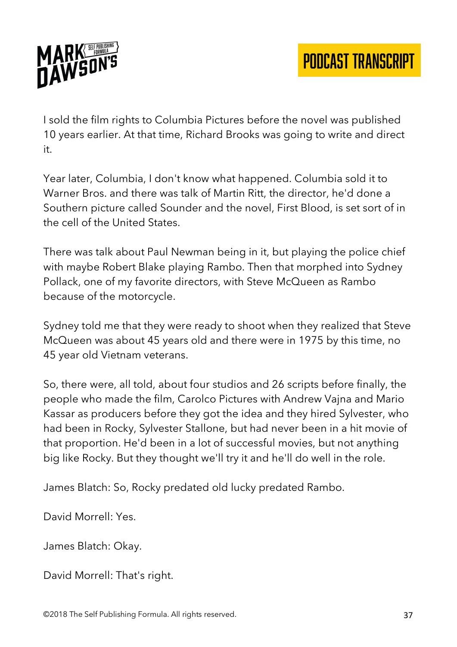

I sold the film rights to Columbia Pictures before the novel was published 10 years earlier. At that time, Richard Brooks was going to write and direct it.

Year later, Columbia, I don't know what happened. Columbia sold it to Warner Bros. and there was talk of Martin Ritt, the director, he'd done a Southern picture called Sounder and the novel, First Blood, is set sort of in the cell of the United States.

There was talk about Paul Newman being in it, but playing the police chief with maybe Robert Blake playing Rambo. Then that morphed into Sydney Pollack, one of my favorite directors, with Steve McQueen as Rambo because of the motorcycle.

Sydney told me that they were ready to shoot when they realized that Steve McQueen was about 45 years old and there were in 1975 by this time, no 45 year old Vietnam veterans.

So, there were, all told, about four studios and 26 scripts before finally, the people who made the film, Carolco Pictures with Andrew Vajna and Mario Kassar as producers before they got the idea and they hired Sylvester, who had been in Rocky, Sylvester Stallone, but had never been in a hit movie of that proportion. He'd been in a lot of successful movies, but not anything big like Rocky. But they thought we'll try it and he'll do well in the role.

James Blatch: So, Rocky predated old lucky predated Rambo.

David Morrell: Yes.

James Blatch: Okay.

David Morrell: That's right.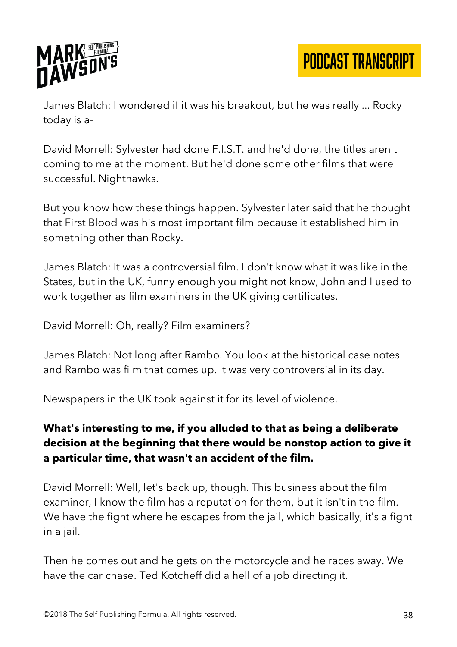

James Blatch: I wondered if it was his breakout, but he was really ... Rocky today is a-

David Morrell: Sylvester had done F.I.S.T. and he'd done, the titles aren't coming to me at the moment. But he'd done some other films that were successful. Nighthawks.

But you know how these things happen. Sylvester later said that he thought that First Blood was his most important film because it established him in something other than Rocky.

James Blatch: It was a controversial film. I don't know what it was like in the States, but in the UK, funny enough you might not know, John and I used to work together as film examiners in the UK giving certificates.

David Morrell: Oh, really? Film examiners?

James Blatch: Not long after Rambo. You look at the historical case notes and Rambo was film that comes up. It was very controversial in its day.

Newspapers in the UK took against it for its level of violence.

# **What's interesting to me, if you alluded to that as being a deliberate decision at the beginning that there would be nonstop action to give it a particular time, that wasn't an accident of the film.**

David Morrell: Well, let's back up, though. This business about the film examiner, I know the film has a reputation for them, but it isn't in the film. We have the fight where he escapes from the jail, which basically, it's a fight in a jail.

Then he comes out and he gets on the motorcycle and he races away. We have the car chase. Ted Kotcheff did a hell of a job directing it.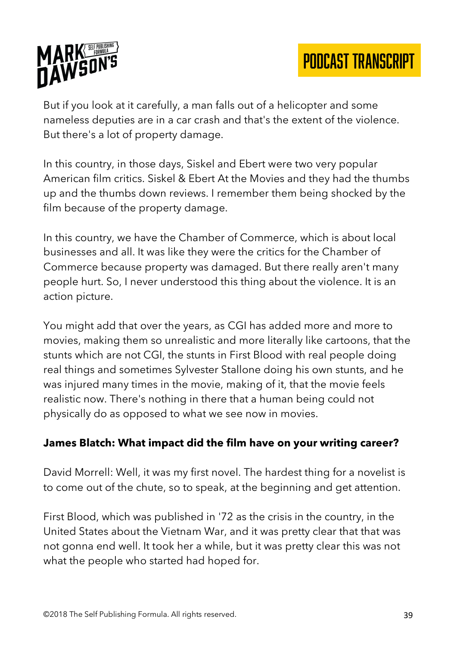

But if you look at it carefully, a man falls out of a helicopter and some nameless deputies are in a car crash and that's the extent of the violence. But there's a lot of property damage.

In this country, in those days, Siskel and Ebert were two very popular American film critics. Siskel & Ebert At the Movies and they had the thumbs up and the thumbs down reviews. I remember them being shocked by the film because of the property damage.

In this country, we have the Chamber of Commerce, which is about local businesses and all. It was like they were the critics for the Chamber of Commerce because property was damaged. But there really aren't many people hurt. So, I never understood this thing about the violence. It is an action picture.

You might add that over the years, as CGI has added more and more to movies, making them so unrealistic and more literally like cartoons, that the stunts which are not CGI, the stunts in First Blood with real people doing real things and sometimes Sylvester Stallone doing his own stunts, and he was injured many times in the movie, making of it, that the movie feels realistic now. There's nothing in there that a human being could not physically do as opposed to what we see now in movies.

#### **James Blatch: What impact did the film have on your writing career?**

David Morrell: Well, it was my first novel. The hardest thing for a novelist is to come out of the chute, so to speak, at the beginning and get attention.

First Blood, which was published in '72 as the crisis in the country, in the United States about the Vietnam War, and it was pretty clear that that was not gonna end well. It took her a while, but it was pretty clear this was not what the people who started had hoped for.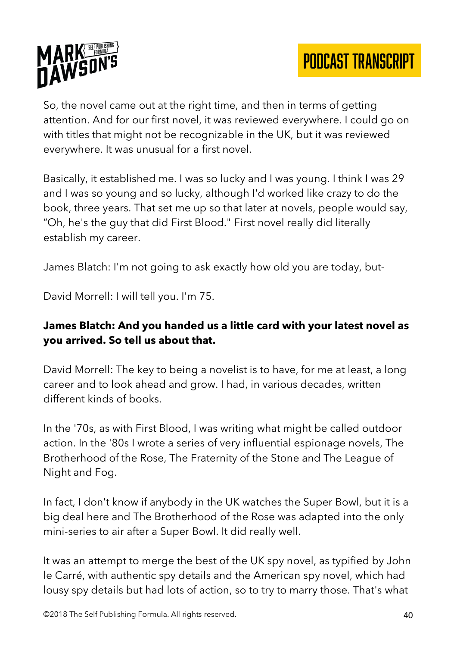

So, the novel came out at the right time, and then in terms of getting attention. And for our first novel, it was reviewed everywhere. I could go on with titles that might not be recognizable in the UK, but it was reviewed everywhere. It was unusual for a first novel.

Basically, it established me. I was so lucky and I was young. I think I was 29 and I was so young and so lucky, although I'd worked like crazy to do the book, three years. That set me up so that later at novels, people would say, "Oh, he's the guy that did First Blood." First novel really did literally establish my career.

James Blatch: I'm not going to ask exactly how old you are today, but-

David Morrell: I will tell you. I'm 75.

## **James Blatch: And you handed us a little card with your latest novel as you arrived. So tell us about that.**

David Morrell: The key to being a novelist is to have, for me at least, a long career and to look ahead and grow. I had, in various decades, written different kinds of books.

In the '70s, as with First Blood, I was writing what might be called outdoor action. In the '80s I wrote a series of very influential espionage novels, The Brotherhood of the Rose, The Fraternity of the Stone and The League of Night and Fog.

In fact, I don't know if anybody in the UK watches the Super Bowl, but it is a big deal here and The Brotherhood of the Rose was adapted into the only mini-series to air after a Super Bowl. It did really well.

It was an attempt to merge the best of the UK spy novel, as typified by John le Carré, with authentic spy details and the American spy novel, which had lousy spy details but had lots of action, so to try to marry those. That's what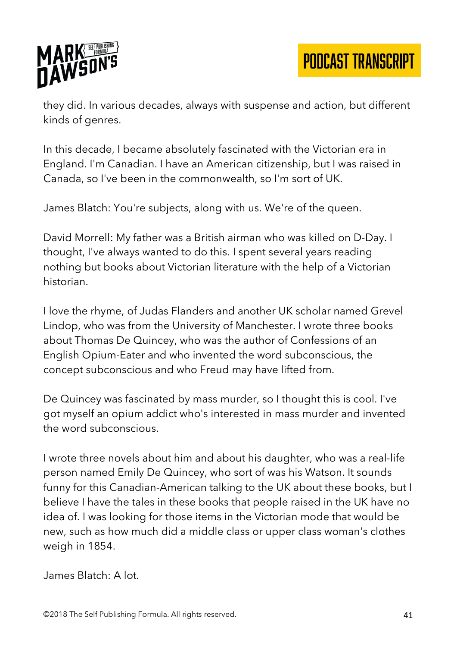

they did. In various decades, always with suspense and action, but different kinds of genres.

In this decade, I became absolutely fascinated with the Victorian era in England. I'm Canadian. I have an American citizenship, but I was raised in Canada, so I've been in the commonwealth, so I'm sort of UK.

James Blatch: You're subjects, along with us. We're of the queen.

David Morrell: My father was a British airman who was killed on D-Day. I thought, I've always wanted to do this. I spent several years reading nothing but books about Victorian literature with the help of a Victorian historian.

I love the rhyme, of Judas Flanders and another UK scholar named Grevel Lindop, who was from the University of Manchester. I wrote three books about Thomas De Quincey, who was the author of Confessions of an English Opium-Eater and who invented the word subconscious, the concept subconscious and who Freud may have lifted from.

De Quincey was fascinated by mass murder, so I thought this is cool. I've got myself an opium addict who's interested in mass murder and invented the word subconscious.

I wrote three novels about him and about his daughter, who was a real-life person named Emily De Quincey, who sort of was his Watson. It sounds funny for this Canadian-American talking to the UK about these books, but I believe I have the tales in these books that people raised in the UK have no idea of. I was looking for those items in the Victorian mode that would be new, such as how much did a middle class or upper class woman's clothes weigh in 1854.

James Blatch: A lot.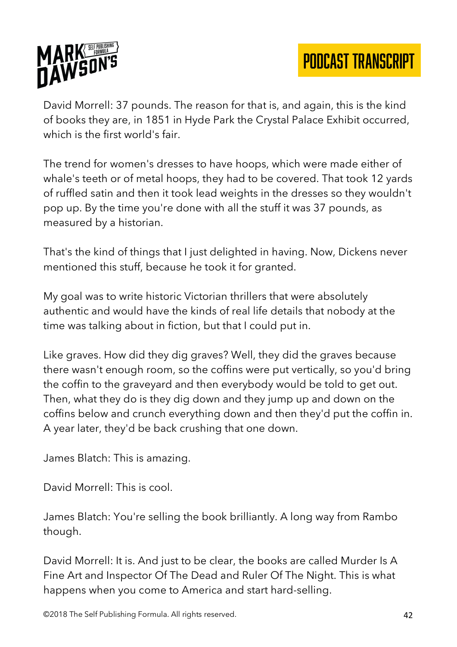

David Morrell: 37 pounds. The reason for that is, and again, this is the kind of books they are, in 1851 in Hyde Park the Crystal Palace Exhibit occurred, which is the first world's fair.

The trend for women's dresses to have hoops, which were made either of whale's teeth or of metal hoops, they had to be covered. That took 12 yards of ruffled satin and then it took lead weights in the dresses so they wouldn't pop up. By the time you're done with all the stuff it was 37 pounds, as measured by a historian.

That's the kind of things that I just delighted in having. Now, Dickens never mentioned this stuff, because he took it for granted.

My goal was to write historic Victorian thrillers that were absolutely authentic and would have the kinds of real life details that nobody at the time was talking about in fiction, but that I could put in.

Like graves. How did they dig graves? Well, they did the graves because there wasn't enough room, so the coffins were put vertically, so you'd bring the coffin to the graveyard and then everybody would be told to get out. Then, what they do is they dig down and they jump up and down on the coffins below and crunch everything down and then they'd put the coffin in. A year later, they'd be back crushing that one down.

James Blatch: This is amazing.

David Morrell: This is cool.

James Blatch: You're selling the book brilliantly. A long way from Rambo though.

David Morrell: It is. And just to be clear, the books are called Murder Is A Fine Art and Inspector Of The Dead and Ruler Of The Night. This is what happens when you come to America and start hard-selling.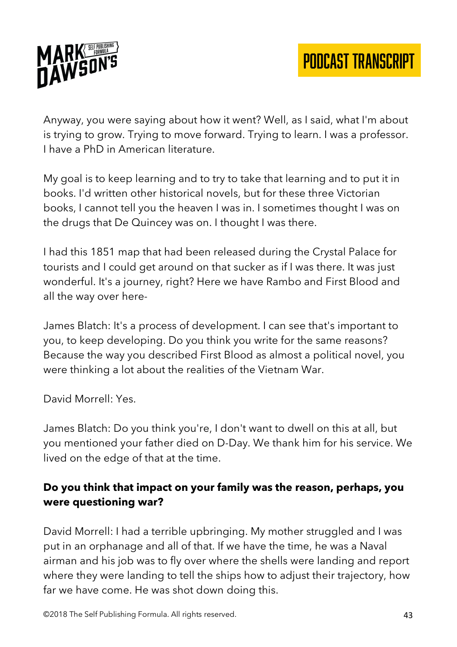

Anyway, you were saying about how it went? Well, as I said, what I'm about is trying to grow. Trying to move forward. Trying to learn. I was a professor. I have a PhD in American literature.

My goal is to keep learning and to try to take that learning and to put it in books. I'd written other historical novels, but for these three Victorian books, I cannot tell you the heaven I was in. I sometimes thought I was on the drugs that De Quincey was on. I thought I was there.

I had this 1851 map that had been released during the Crystal Palace for tourists and I could get around on that sucker as if I was there. It was just wonderful. It's a journey, right? Here we have Rambo and First Blood and all the way over here-

James Blatch: It's a process of development. I can see that's important to you, to keep developing. Do you think you write for the same reasons? Because the way you described First Blood as almost a political novel, you were thinking a lot about the realities of the Vietnam War.

David Morrell: Yes.

James Blatch: Do you think you're, I don't want to dwell on this at all, but you mentioned your father died on D-Day. We thank him for his service. We lived on the edge of that at the time.

# **Do you think that impact on your family was the reason, perhaps, you were questioning war?**

David Morrell: I had a terrible upbringing. My mother struggled and I was put in an orphanage and all of that. If we have the time, he was a Naval airman and his job was to fly over where the shells were landing and report where they were landing to tell the ships how to adjust their trajectory, how far we have come. He was shot down doing this.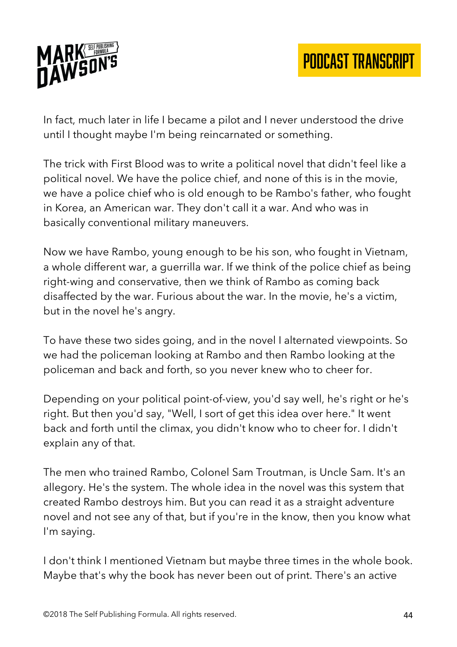

In fact, much later in life I became a pilot and I never understood the drive until I thought maybe I'm being reincarnated or something.

The trick with First Blood was to write a political novel that didn't feel like a political novel. We have the police chief, and none of this is in the movie, we have a police chief who is old enough to be Rambo's father, who fought in Korea, an American war. They don't call it a war. And who was in basically conventional military maneuvers.

Now we have Rambo, young enough to be his son, who fought in Vietnam, a whole different war, a guerrilla war. If we think of the police chief as being right-wing and conservative, then we think of Rambo as coming back disaffected by the war. Furious about the war. In the movie, he's a victim, but in the novel he's angry.

To have these two sides going, and in the novel I alternated viewpoints. So we had the policeman looking at Rambo and then Rambo looking at the policeman and back and forth, so you never knew who to cheer for.

Depending on your political point-of-view, you'd say well, he's right or he's right. But then you'd say, "Well, I sort of get this idea over here." It went back and forth until the climax, you didn't know who to cheer for. I didn't explain any of that.

The men who trained Rambo, Colonel Sam Troutman, is Uncle Sam. It's an allegory. He's the system. The whole idea in the novel was this system that created Rambo destroys him. But you can read it as a straight adventure novel and not see any of that, but if you're in the know, then you know what I'm saying.

I don't think I mentioned Vietnam but maybe three times in the whole book. Maybe that's why the book has never been out of print. There's an active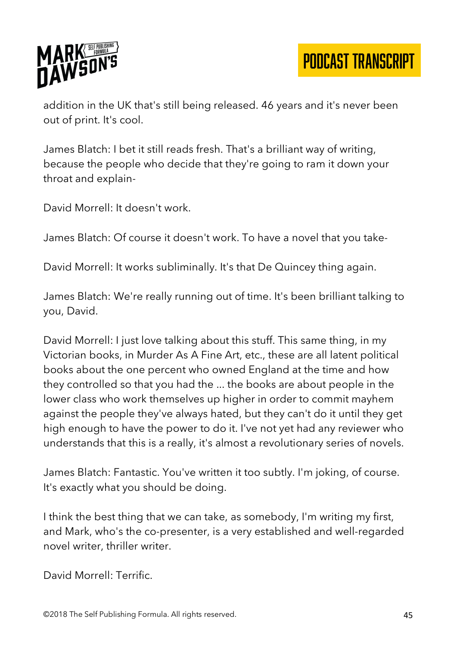

addition in the UK that's still being released. 46 years and it's never been out of print. It's cool.

James Blatch: I bet it still reads fresh. That's a brilliant way of writing, because the people who decide that they're going to ram it down your throat and explain-

David Morrell: It doesn't work.

James Blatch: Of course it doesn't work. To have a novel that you take-

David Morrell: It works subliminally. It's that De Quincey thing again.

James Blatch: We're really running out of time. It's been brilliant talking to you, David.

David Morrell: I just love talking about this stuff. This same thing, in my Victorian books, in Murder As A Fine Art, etc., these are all latent political books about the one percent who owned England at the time and how they controlled so that you had the ... the books are about people in the lower class who work themselves up higher in order to commit mayhem against the people they've always hated, but they can't do it until they get high enough to have the power to do it. I've not yet had any reviewer who understands that this is a really, it's almost a revolutionary series of novels.

James Blatch: Fantastic. You've written it too subtly. I'm joking, of course. It's exactly what you should be doing.

I think the best thing that we can take, as somebody, I'm writing my first, and Mark, who's the co-presenter, is a very established and well-regarded novel writer, thriller writer.

David Morrell: Terrific.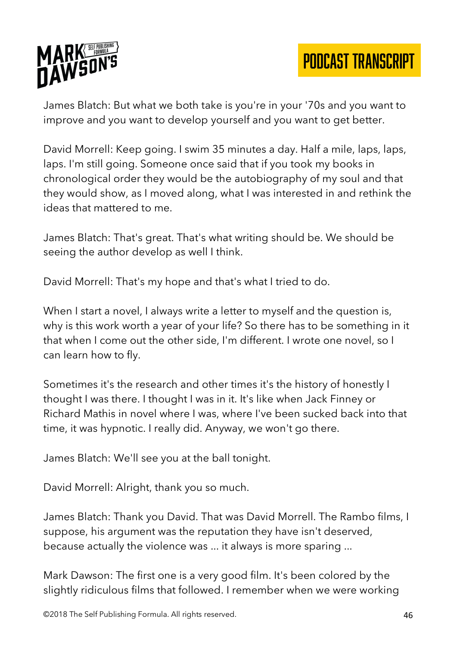

James Blatch: But what we both take is you're in your '70s and you want to improve and you want to develop yourself and you want to get better.

David Morrell: Keep going. I swim 35 minutes a day. Half a mile, laps, laps, laps. I'm still going. Someone once said that if you took my books in chronological order they would be the autobiography of my soul and that they would show, as I moved along, what I was interested in and rethink the ideas that mattered to me.

James Blatch: That's great. That's what writing should be. We should be seeing the author develop as well I think.

David Morrell: That's my hope and that's what I tried to do.

When I start a novel, I always write a letter to myself and the question is, why is this work worth a year of your life? So there has to be something in it that when I come out the other side, I'm different. I wrote one novel, so I can learn how to fly.

Sometimes it's the research and other times it's the history of honestly I thought I was there. I thought I was in it. It's like when Jack Finney or Richard Mathis in novel where I was, where I've been sucked back into that time, it was hypnotic. I really did. Anyway, we won't go there.

James Blatch: We'll see you at the ball tonight.

David Morrell: Alright, thank you so much.

James Blatch: Thank you David. That was David Morrell. The Rambo films, I suppose, his argument was the reputation they have isn't deserved, because actually the violence was ... it always is more sparing ...

Mark Dawson: The first one is a very good film. It's been colored by the slightly ridiculous films that followed. I remember when we were working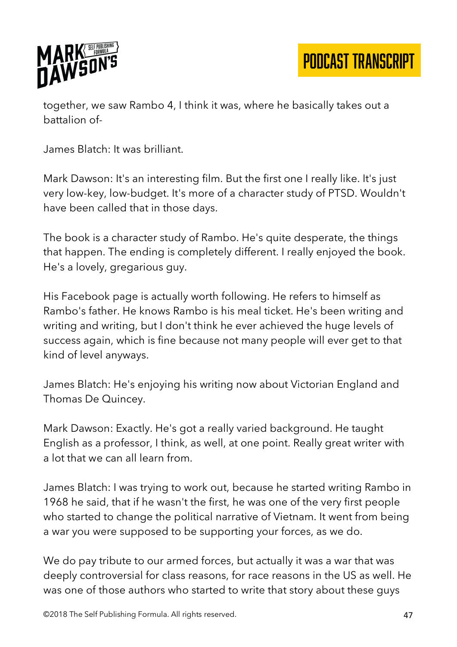

together, we saw Rambo 4, I think it was, where he basically takes out a battalion of-

James Blatch: It was brilliant.

Mark Dawson: It's an interesting film. But the first one I really like. It's just very low-key, low-budget. It's more of a character study of PTSD. Wouldn't have been called that in those days.

The book is a character study of Rambo. He's quite desperate, the things that happen. The ending is completely different. I really enjoyed the book. He's a lovely, gregarious guy.

His Facebook page is actually worth following. He refers to himself as Rambo's father. He knows Rambo is his meal ticket. He's been writing and writing and writing, but I don't think he ever achieved the huge levels of success again, which is fine because not many people will ever get to that kind of level anyways.

James Blatch: He's enjoying his writing now about Victorian England and Thomas De Quincey.

Mark Dawson: Exactly. He's got a really varied background. He taught English as a professor, I think, as well, at one point. Really great writer with a lot that we can all learn from.

James Blatch: I was trying to work out, because he started writing Rambo in 1968 he said, that if he wasn't the first, he was one of the very first people who started to change the political narrative of Vietnam. It went from being a war you were supposed to be supporting your forces, as we do.

We do pay tribute to our armed forces, but actually it was a war that was deeply controversial for class reasons, for race reasons in the US as well. He was one of those authors who started to write that story about these guys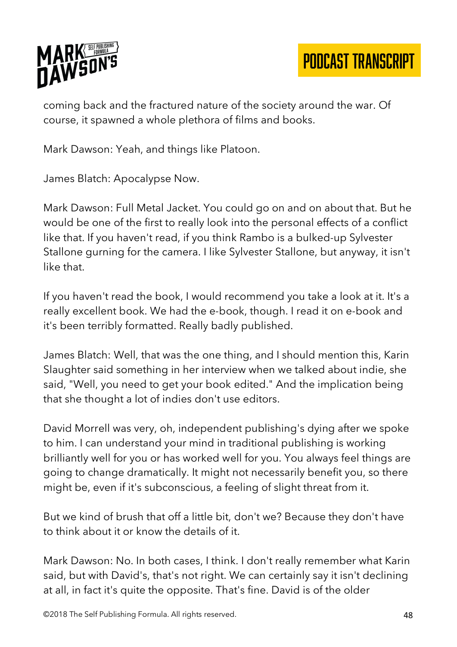

coming back and the fractured nature of the society around the war. Of course, it spawned a whole plethora of films and books.

Mark Dawson: Yeah, and things like Platoon.

James Blatch: Apocalypse Now.

Mark Dawson: Full Metal Jacket. You could go on and on about that. But he would be one of the first to really look into the personal effects of a conflict like that. If you haven't read, if you think Rambo is a bulked-up Sylvester Stallone gurning for the camera. I like Sylvester Stallone, but anyway, it isn't like that.

If you haven't read the book, I would recommend you take a look at it. It's a really excellent book. We had the e-book, though. I read it on e-book and it's been terribly formatted. Really badly published.

James Blatch: Well, that was the one thing, and I should mention this, Karin Slaughter said something in her interview when we talked about indie, she said, "Well, you need to get your book edited." And the implication being that she thought a lot of indies don't use editors.

David Morrell was very, oh, independent publishing's dying after we spoke to him. I can understand your mind in traditional publishing is working brilliantly well for you or has worked well for you. You always feel things are going to change dramatically. It might not necessarily benefit you, so there might be, even if it's subconscious, a feeling of slight threat from it.

But we kind of brush that off a little bit, don't we? Because they don't have to think about it or know the details of it.

Mark Dawson: No. In both cases, I think. I don't really remember what Karin said, but with David's, that's not right. We can certainly say it isn't declining at all, in fact it's quite the opposite. That's fine. David is of the older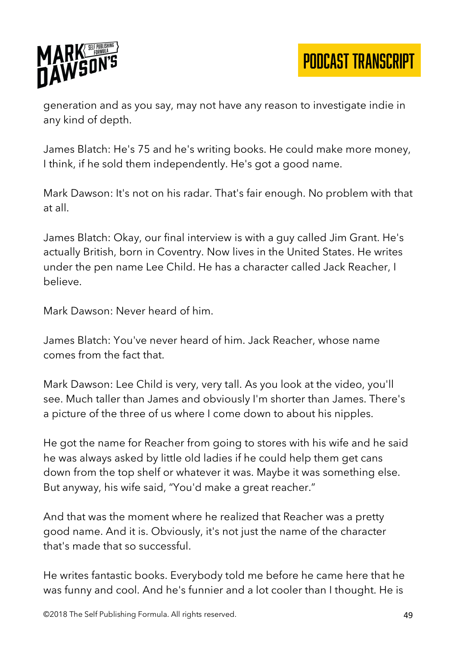

generation and as you say, may not have any reason to investigate indie in any kind of depth.

James Blatch: He's 75 and he's writing books. He could make more money, I think, if he sold them independently. He's got a good name.

Mark Dawson: It's not on his radar. That's fair enough. No problem with that at all.

James Blatch: Okay, our final interview is with a guy called Jim Grant. He's actually British, born in Coventry. Now lives in the United States. He writes under the pen name Lee Child. He has a character called Jack Reacher, I believe.

Mark Dawson: Never heard of him.

James Blatch: You've never heard of him. Jack Reacher, whose name comes from the fact that.

Mark Dawson: Lee Child is very, very tall. As you look at the video, you'll see. Much taller than James and obviously I'm shorter than James. There's a picture of the three of us where I come down to about his nipples.

He got the name for Reacher from going to stores with his wife and he said he was always asked by little old ladies if he could help them get cans down from the top shelf or whatever it was. Maybe it was something else. But anyway, his wife said, "You'd make a great reacher."

And that was the moment where he realized that Reacher was a pretty good name. And it is. Obviously, it's not just the name of the character that's made that so successful.

He writes fantastic books. Everybody told me before he came here that he was funny and cool. And he's funnier and a lot cooler than I thought. He is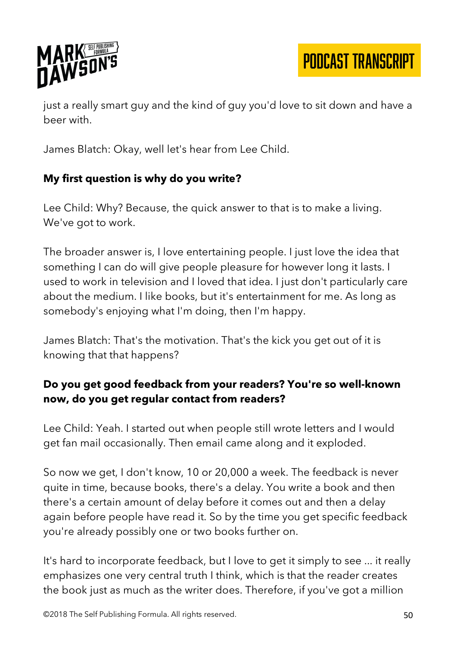

just a really smart guy and the kind of guy you'd love to sit down and have a beer with.

James Blatch: Okay, well let's hear from Lee Child.

# **My first question is why do you write?**

Lee Child: Why? Because, the quick answer to that is to make a living. We've got to work.

The broader answer is, I love entertaining people. I just love the idea that something I can do will give people pleasure for however long it lasts. I used to work in television and I loved that idea. I just don't particularly care about the medium. I like books, but it's entertainment for me. As long as somebody's enjoying what I'm doing, then I'm happy.

James Blatch: That's the motivation. That's the kick you get out of it is knowing that that happens?

# **Do you get good feedback from your readers? You're so well-known now, do you get regular contact from readers?**

Lee Child: Yeah. I started out when people still wrote letters and I would get fan mail occasionally. Then email came along and it exploded.

So now we get, I don't know, 10 or 20,000 a week. The feedback is never quite in time, because books, there's a delay. You write a book and then there's a certain amount of delay before it comes out and then a delay again before people have read it. So by the time you get specific feedback you're already possibly one or two books further on.

It's hard to incorporate feedback, but I love to get it simply to see ... it really emphasizes one very central truth I think, which is that the reader creates the book just as much as the writer does. Therefore, if you've got a million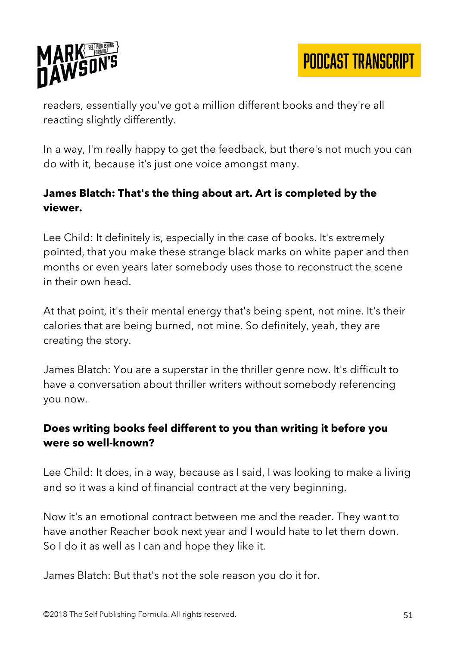

readers, essentially you've got a million different books and they're all reacting slightly differently.

In a way, I'm really happy to get the feedback, but there's not much you can do with it, because it's just one voice amongst many.

## **James Blatch: That's the thing about art. Art is completed by the viewer.**

Lee Child: It definitely is, especially in the case of books. It's extremely pointed, that you make these strange black marks on white paper and then months or even years later somebody uses those to reconstruct the scene in their own head.

At that point, it's their mental energy that's being spent, not mine. It's their calories that are being burned, not mine. So definitely, yeah, they are creating the story.

James Blatch: You are a superstar in the thriller genre now. It's difficult to have a conversation about thriller writers without somebody referencing you now.

## **Does writing books feel different to you than writing it before you were so well-known?**

Lee Child: It does, in a way, because as I said, I was looking to make a living and so it was a kind of financial contract at the very beginning.

Now it's an emotional contract between me and the reader. They want to have another Reacher book next year and I would hate to let them down. So I do it as well as I can and hope they like it.

James Blatch: But that's not the sole reason you do it for.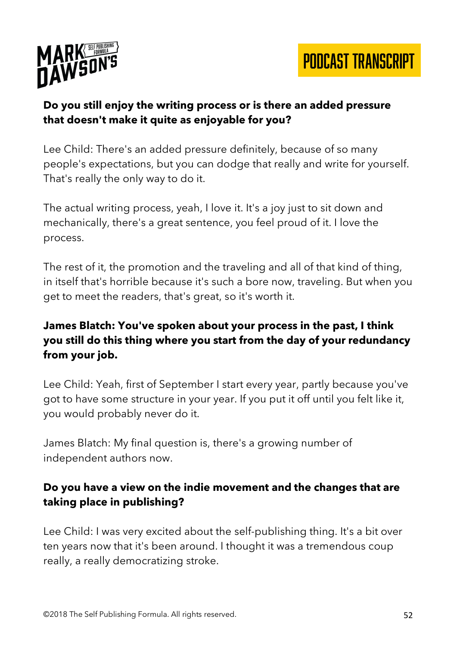



## **Do you still enjoy the writing process or is there an added pressure that doesn't make it quite as enjoyable for you?**

Lee Child: There's an added pressure definitely, because of so many people's expectations, but you can dodge that really and write for yourself. That's really the only way to do it.

The actual writing process, yeah, I love it. It's a joy just to sit down and mechanically, there's a great sentence, you feel proud of it. I love the process.

The rest of it, the promotion and the traveling and all of that kind of thing, in itself that's horrible because it's such a bore now, traveling. But when you get to meet the readers, that's great, so it's worth it.

# **James Blatch: You've spoken about your process in the past, I think you still do this thing where you start from the day of your redundancy from your job.**

Lee Child: Yeah, first of September I start every year, partly because you've got to have some structure in your year. If you put it off until you felt like it, you would probably never do it.

James Blatch: My final question is, there's a growing number of independent authors now.

# **Do you have a view on the indie movement and the changes that are taking place in publishing?**

Lee Child: I was very excited about the self-publishing thing. It's a bit over ten years now that it's been around. I thought it was a tremendous coup really, a really democratizing stroke.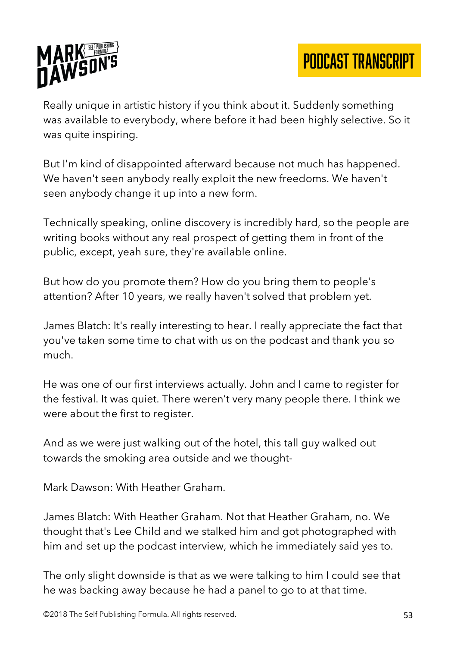

Really unique in artistic history if you think about it. Suddenly something was available to everybody, where before it had been highly selective. So it was quite inspiring.

But I'm kind of disappointed afterward because not much has happened. We haven't seen anybody really exploit the new freedoms. We haven't seen anybody change it up into a new form.

Technically speaking, online discovery is incredibly hard, so the people are writing books without any real prospect of getting them in front of the public, except, yeah sure, they're available online.

But how do you promote them? How do you bring them to people's attention? After 10 years, we really haven't solved that problem yet.

James Blatch: It's really interesting to hear. I really appreciate the fact that you've taken some time to chat with us on the podcast and thank you so much.

He was one of our first interviews actually. John and I came to register for the festival. It was quiet. There weren't very many people there. I think we were about the first to register.

And as we were just walking out of the hotel, this tall guy walked out towards the smoking area outside and we thought-

Mark Dawson: With Heather Graham.

James Blatch: With Heather Graham. Not that Heather Graham, no. We thought that's Lee Child and we stalked him and got photographed with him and set up the podcast interview, which he immediately said yes to.

The only slight downside is that as we were talking to him I could see that he was backing away because he had a panel to go to at that time.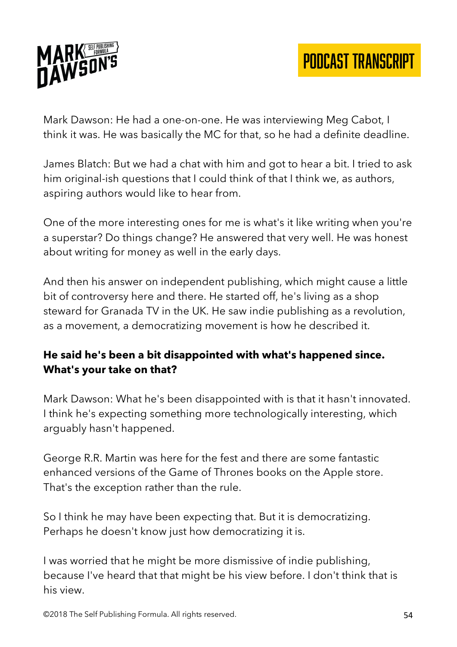

Mark Dawson: He had a one-on-one. He was interviewing Meg Cabot, I think it was. He was basically the MC for that, so he had a definite deadline.

James Blatch: But we had a chat with him and got to hear a bit. I tried to ask him original-ish questions that I could think of that I think we, as authors, aspiring authors would like to hear from.

One of the more interesting ones for me is what's it like writing when you're a superstar? Do things change? He answered that very well. He was honest about writing for money as well in the early days.

And then his answer on independent publishing, which might cause a little bit of controversy here and there. He started off, he's living as a shop steward for Granada TV in the UK. He saw indie publishing as a revolution, as a movement, a democratizing movement is how he described it.

## **He said he's been a bit disappointed with what's happened since. What's your take on that?**

Mark Dawson: What he's been disappointed with is that it hasn't innovated. I think he's expecting something more technologically interesting, which arguably hasn't happened.

George R.R. Martin was here for the fest and there are some fantastic enhanced versions of the Game of Thrones books on the Apple store. That's the exception rather than the rule.

So I think he may have been expecting that. But it is democratizing. Perhaps he doesn't know just how democratizing it is.

I was worried that he might be more dismissive of indie publishing, because I've heard that that might be his view before. I don't think that is his view.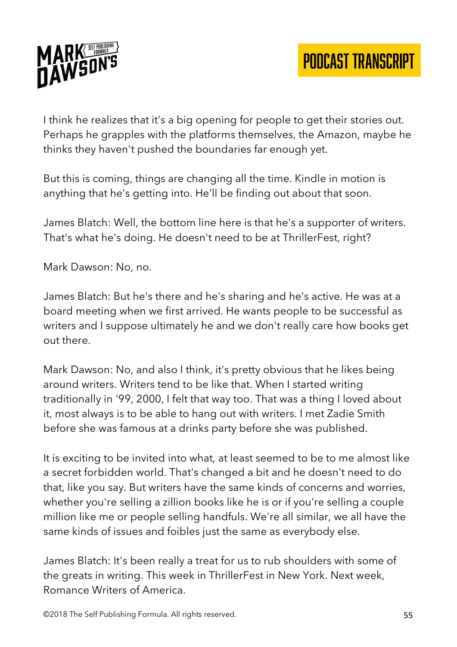

I think he realizes that it's a big opening for people to get their stories out. Perhaps he grapples with the platforms themselves, the Amazon, maybe he thinks they haven't pushed the boundaries far enough yet.

But this is coming, things are changing all the time. Kindle in motion is anything that he's getting into. He'll be finding out about that soon.

James Blatch: Well, the bottom line here is that he's a supporter of writers. That's what he's doing. He doesn't need to be at ThrillerFest, right?

Mark Dawson: No, no.

James Blatch: But he's there and he's sharing and he's active. He was at a board meeting when we first arrived. He wants people to be successful as writers and I suppose ultimately he and we don't really care how books get out there.

Mark Dawson: No, and also I think, it's pretty obvious that he likes being around writers. Writers tend to be like that. When I started writing traditionally in '99, 2000, I felt that way too. That was a thing I loved about it, most always is to be able to hang out with writers. I met Zadie Smith before she was famous at a drinks party before she was published.

It is exciting to be invited into what, at least seemed to be to me almost like a secret forbidden world. That's changed a bit and he doesn't need to do that, like you say. But writers have the same kinds of concerns and worries, whether you're selling a zillion books like he is or if you're selling a couple million like me or people selling handfuls. We're all similar, we all have the same kinds of issues and foibles just the same as everybody else.

James Blatch: It's been really a treat for us to rub shoulders with some of the greats in writing. This week in ThrillerFest in New York. Next week, Romance Writers of America.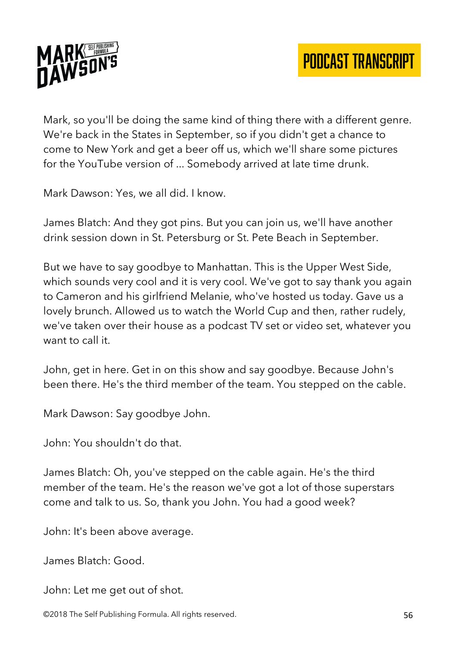

Mark, so you'll be doing the same kind of thing there with a different genre. We're back in the States in September, so if you didn't get a chance to come to New York and get a beer off us, which we'll share some pictures for the YouTube version of ... Somebody arrived at late time drunk.

Mark Dawson: Yes, we all did. I know.

James Blatch: And they got pins. But you can join us, we'll have another drink session down in St. Petersburg or St. Pete Beach in September.

But we have to say goodbye to Manhattan. This is the Upper West Side, which sounds very cool and it is very cool. We've got to say thank you again to Cameron and his girlfriend Melanie, who've hosted us today. Gave us a lovely brunch. Allowed us to watch the World Cup and then, rather rudely, we've taken over their house as a podcast TV set or video set, whatever you want to call it.

John, get in here. Get in on this show and say goodbye. Because John's been there. He's the third member of the team. You stepped on the cable.

Mark Dawson: Say goodbye John.

John: You shouldn't do that.

James Blatch: Oh, you've stepped on the cable again. He's the third member of the team. He's the reason we've got a lot of those superstars come and talk to us. So, thank you John. You had a good week?

John: It's been above average.

James Blatch: Good.

John: Let me get out of shot.